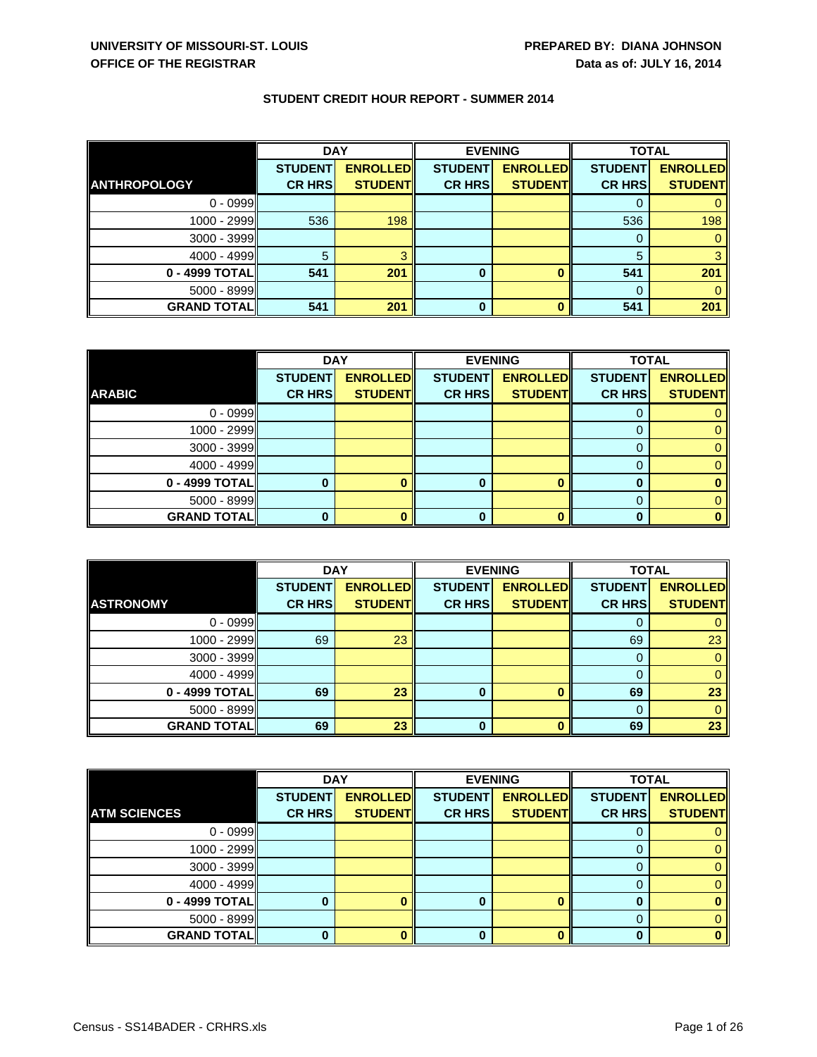|                     | <b>DAY</b>     |                 | <b>EVENING</b> |                 | <b>TOTAL</b>   |                 |
|---------------------|----------------|-----------------|----------------|-----------------|----------------|-----------------|
|                     | <b>STUDENT</b> | <b>ENROLLED</b> | <b>STUDENT</b> | <b>ENROLLED</b> | <b>STUDENT</b> | <b>ENROLLED</b> |
| <b>ANTHROPOLOGY</b> | <b>CR HRS</b>  | <b>STUDENT</b>  | <b>CR HRS</b>  | <b>STUDENT</b>  | <b>CR HRS</b>  | <b>STUDENT</b>  |
| $0 - 0999$          |                |                 |                |                 |                |                 |
| 1000 - 2999         | 536            | 198             |                |                 | 536            | 198             |
| $3000 - 3999$       |                |                 |                |                 | 0              |                 |
| 4000 - 4999         |                |                 |                |                 | 5              |                 |
| 0 - 4999 TOTAL      | 541            | 201             | 0              |                 | 541            | 201             |
| 5000 - 8999         |                |                 |                |                 |                |                 |
| <b>GRAND TOTAL</b>  | 541            | 201             | 0              |                 | 541            | 201             |

|                    | <b>DAY</b>     |                 | <b>EVENING</b> |                 | <b>TOTAL</b>   |                 |
|--------------------|----------------|-----------------|----------------|-----------------|----------------|-----------------|
|                    | <b>STUDENT</b> | <b>ENROLLED</b> | <b>STUDENT</b> | <b>ENROLLED</b> | <b>STUDENT</b> | <b>ENROLLED</b> |
| <b>ARABIC</b>      | <b>CR HRS</b>  | <b>STUDENT</b>  | <b>CR HRS</b>  | <b>STUDENT</b>  | <b>CR HRS</b>  | <b>STUDENT</b>  |
| $0 - 0999$         |                |                 |                |                 |                |                 |
| 1000 - 2999        |                |                 |                |                 |                |                 |
| $3000 - 3999$      |                |                 |                |                 |                |                 |
| $4000 - 4999$      |                |                 |                |                 |                |                 |
| $0 - 4999$ TOTAL   |                |                 | 0              |                 |                |                 |
| $5000 - 8999$      |                |                 |                |                 |                |                 |
| <b>GRAND TOTAL</b> |                |                 | 0              |                 |                |                 |

|                    | <b>DAY</b>     |                 | <b>EVENING</b> |                 | <b>TOTAL</b>   |                 |
|--------------------|----------------|-----------------|----------------|-----------------|----------------|-----------------|
|                    | <b>STUDENT</b> | <b>ENROLLED</b> | <b>STUDENT</b> | <b>ENROLLED</b> | <b>STUDENT</b> | <b>ENROLLED</b> |
| <b>ASTRONOMY</b>   | <b>CR HRS</b>  | <b>STUDENT</b>  | <b>CR HRS</b>  | <b>STUDENT</b>  | <b>CR HRS</b>  | <b>STUDENT</b>  |
| $0 - 0999$         |                |                 |                |                 |                |                 |
| $1000 - 2999$      | 69             | 23              |                |                 | 69             | 23              |
| $3000 - 3999$      |                |                 |                |                 | 0              |                 |
| $4000 - 4999$      |                |                 |                |                 |                |                 |
| $0 - 4999$ TOTAL   | 69             | 23              | $\bf{0}$       |                 | 69             | 23              |
| $5000 - 8999$      |                |                 |                |                 | O              | 0               |
| <b>GRAND TOTAL</b> | 69             | 23              | $\bf{0}$       |                 | 69             | 23              |

|                     | <b>DAY</b>     |                 | <b>EVENING</b> |                 | <b>TOTAL</b>   |                 |
|---------------------|----------------|-----------------|----------------|-----------------|----------------|-----------------|
|                     | <b>STUDENT</b> | <b>ENROLLED</b> | <b>STUDENT</b> | <b>ENROLLED</b> | <b>STUDENT</b> | <b>ENROLLED</b> |
| <b>ATM SCIENCES</b> | <b>CR HRS</b>  | <b>STUDENT</b>  | <b>CR HRS</b>  | <b>STUDENT</b>  | <b>CR HRS</b>  | <b>STUDENT</b>  |
| $0 - 0999$          |                |                 |                |                 |                |                 |
| 1000 - 2999         |                |                 |                |                 |                |                 |
| $3000 - 3999$       |                |                 |                |                 | O              |                 |
| $4000 - 4999$       |                |                 |                |                 |                |                 |
| 0 - 4999 TOTAL      |                |                 | 0              |                 |                |                 |
| $5000 - 8999$       |                |                 |                |                 | $\Omega$       |                 |
| <b>GRAND TOTAL</b>  |                |                 | 0              |                 |                |                 |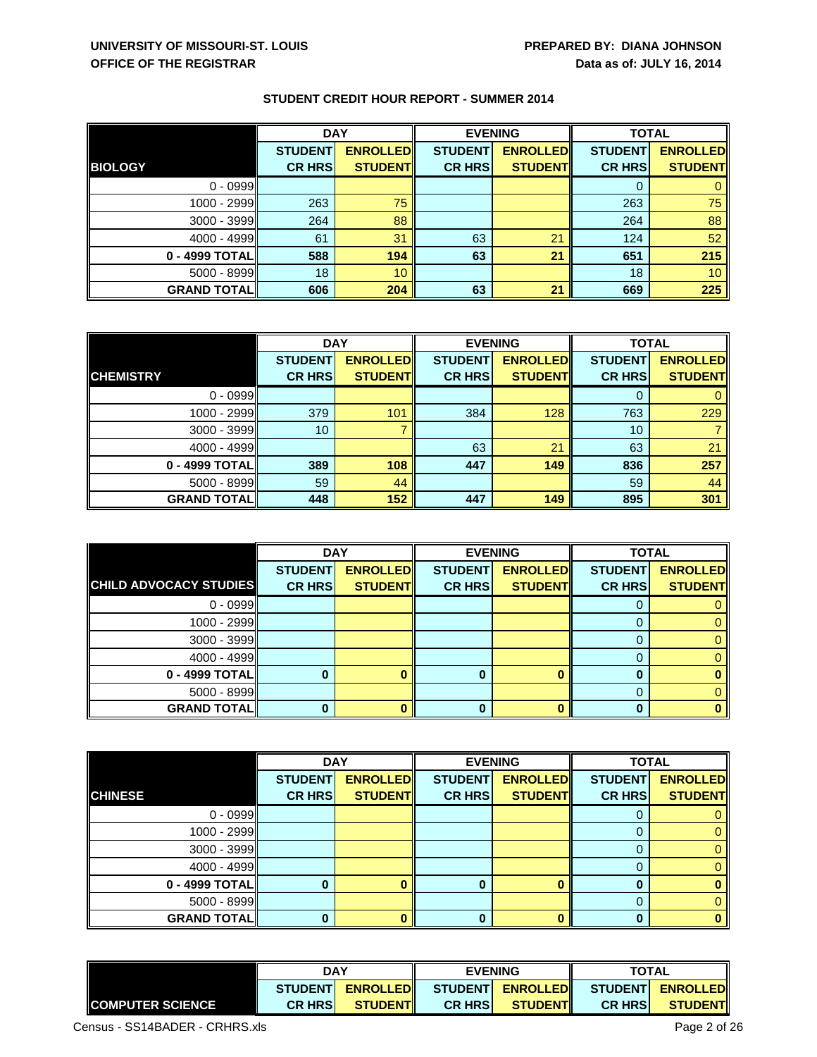|                    | <b>DAY</b>     |                 | <b>EVENING</b> |                 | <b>TOTAL</b>   |                 |
|--------------------|----------------|-----------------|----------------|-----------------|----------------|-----------------|
|                    | <b>STUDENT</b> | <b>ENROLLED</b> | <b>STUDENT</b> | <b>ENROLLED</b> | <b>STUDENT</b> | <b>ENROLLED</b> |
| <b>BIOLOGY</b>     | <b>CR HRS</b>  | <b>STUDENT</b>  | <b>CR HRS</b>  | <b>STUDENT</b>  | <b>CR HRS</b>  | <b>STUDENT</b>  |
| $0 - 0999$         |                |                 |                |                 |                |                 |
| 1000 - 2999        | 263            | 75              |                |                 | 263            | 75              |
| $3000 - 3999$      | 264            | 88              |                |                 | 264            | 88              |
| $4000 - 4999$      | 61             | 31              | 63             | 21              | 124            | 52              |
| $0 - 4999$ TOTAL   | 588            | 194             | 63             | 21              | 651            | 215             |
| $5000 - 8999$      | 18             | 10              |                |                 | 18             | 10 <sup>°</sup> |
| <b>GRAND TOTAL</b> | 606            | 204             | 63             | 21              | 669            | 225             |

|                    | <b>DAY</b>     |                 | <b>EVENING</b> |                 | <b>TOTAL</b>   |                 |
|--------------------|----------------|-----------------|----------------|-----------------|----------------|-----------------|
|                    | <b>STUDENT</b> | <b>ENROLLED</b> | <b>STUDENT</b> | <b>ENROLLED</b> | <b>STUDENT</b> | <b>ENROLLED</b> |
| <b>CHEMISTRY</b>   | <b>CR HRS</b>  | <b>STUDENT</b>  | <b>CR HRS</b>  | <b>STUDENT</b>  | <b>CR HRS</b>  | <b>STUDENT</b>  |
| $0 - 0999$         |                |                 |                |                 |                |                 |
| $1000 - 2999$      | 379            | 101             | 384            | 128             | 763            | 229             |
| $3000 - 3999$      | 10             |                 |                |                 | 10             |                 |
| $4000 - 4999$      |                |                 | 63             | 21              | 63             | 21              |
| $0 - 4999$ TOTAL   | 389            | 108             | 447            | 149             | 836            | 257             |
| $5000 - 8999$      | 59             | 44              |                |                 | 59             | 44              |
| <b>GRAND TOTAL</b> | 448            | 152             | 447            | 149             | 895            | 301             |

|                               | <b>DAY</b>     |                 |                | <b>EVENING</b>  | <b>TOTAL</b>   |                 |
|-------------------------------|----------------|-----------------|----------------|-----------------|----------------|-----------------|
|                               | <b>STUDENT</b> | <b>ENROLLED</b> | <b>STUDENT</b> | <b>ENROLLED</b> | <b>STUDENT</b> | <b>ENROLLED</b> |
| <b>CHILD ADVOCACY STUDIES</b> | <b>CR HRS</b>  | <b>STUDENT</b>  | <b>CR HRS</b>  | <b>STUDENT</b>  | <b>CR HRS</b>  | <b>STUDENT</b>  |
| $0 - 0999$                    |                |                 |                |                 |                |                 |
| $1000 - 2999$                 |                |                 |                |                 |                |                 |
| $3000 - 3999$                 |                |                 |                |                 |                |                 |
| $4000 - 4999$                 |                |                 |                |                 | $\mathbf{0}$   |                 |
| 0 - 4999 TOTAL                |                |                 |                |                 |                |                 |
| $5000 - 8999$                 |                |                 |                |                 |                |                 |
| <b>GRAND TOTAL</b>            |                |                 | O              |                 |                |                 |

|                    | <b>DAY</b>     |                 |                | <b>EVENING</b>  | <b>TOTAL</b>   |                 |
|--------------------|----------------|-----------------|----------------|-----------------|----------------|-----------------|
|                    | <b>STUDENT</b> | <b>ENROLLED</b> | <b>STUDENT</b> | <b>ENROLLED</b> | <b>STUDENT</b> | <b>ENROLLED</b> |
| <b>CHINESE</b>     | <b>CR HRS</b>  | <b>STUDENT</b>  | <b>CR HRS</b>  | <b>STUDENT</b>  | <b>CR HRS</b>  | <b>STUDENT</b>  |
| $0 - 0999$         |                |                 |                |                 |                | 0               |
| $1000 - 2999$      |                |                 |                |                 | 0              | 0               |
| $3000 - 3999$      |                |                 |                |                 | O              | 0               |
| $4000 - 4999$      |                |                 |                |                 |                | 0               |
| $0 - 4999$ TOTAL   |                |                 | 0              |                 |                |                 |
| $5000 - 8999$      |                |                 |                |                 | 0              | 0               |
| <b>GRAND TOTAL</b> |                |                 |                |                 |                |                 |

|                          | <b>DAY</b>     |                  | <b>EVENING</b> |                  | <b>TOTAL</b>   |                  |
|--------------------------|----------------|------------------|----------------|------------------|----------------|------------------|
|                          |                | STUDENT ENROLLED |                | STUDENT ENROLLED |                | STUDENT ENROLLED |
| <b>ICOMPUTER SCIENCE</b> | <b>CR HRSI</b> | <b>STUDENTI</b>  | <b>CR HRSI</b> | <b>STUDENTI</b>  | <b>CR HRSI</b> | <b>STUDENT</b>   |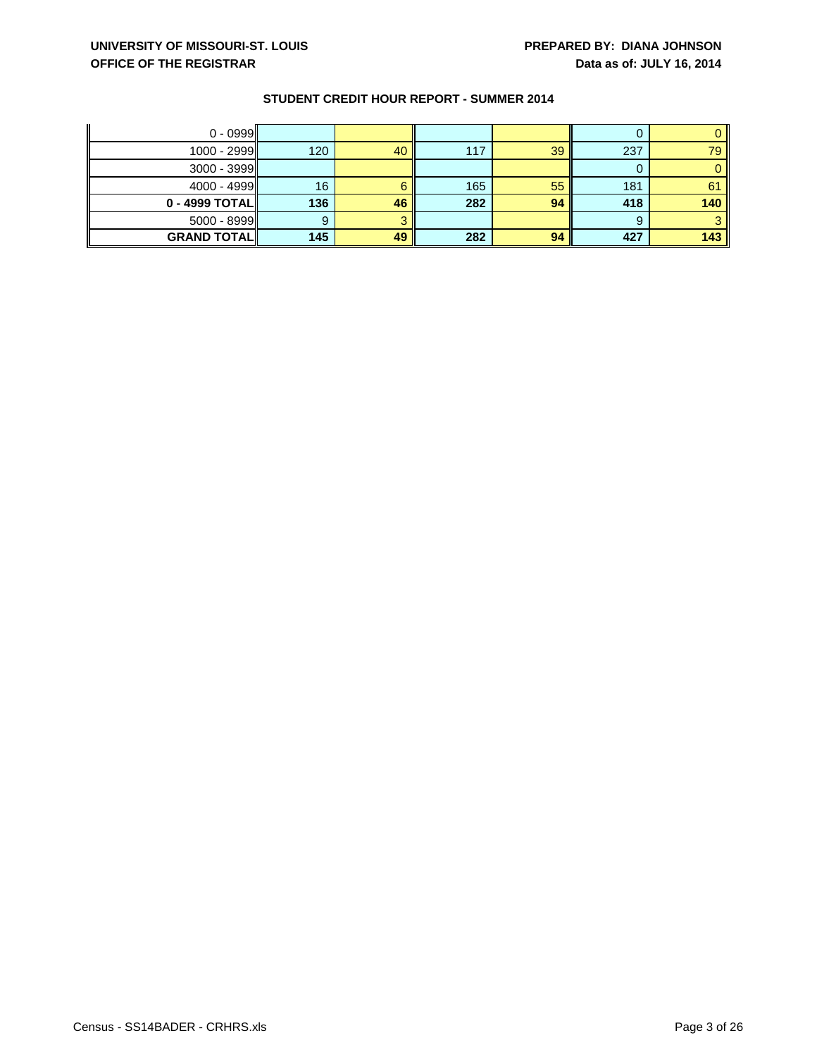| $0 - 0999$         |     |    |     |    |     |      |
|--------------------|-----|----|-----|----|-----|------|
| $1000 - 2999$      | 120 | 40 | 117 | 39 | 237 | 79 I |
| $3000 - 3999$      |     |    |     |    |     |      |
| $4000 - 4999$      | 16  |    | 165 | 55 | 181 | 61   |
| $0 - 4999$ TOTAL   | 136 | 46 | 282 | 94 | 418 | 140  |
| $5000 - 8999$      |     |    |     |    | 9   |      |
| <b>GRAND TOTAL</b> | 145 | 49 | 282 | 94 | 427 | 143  |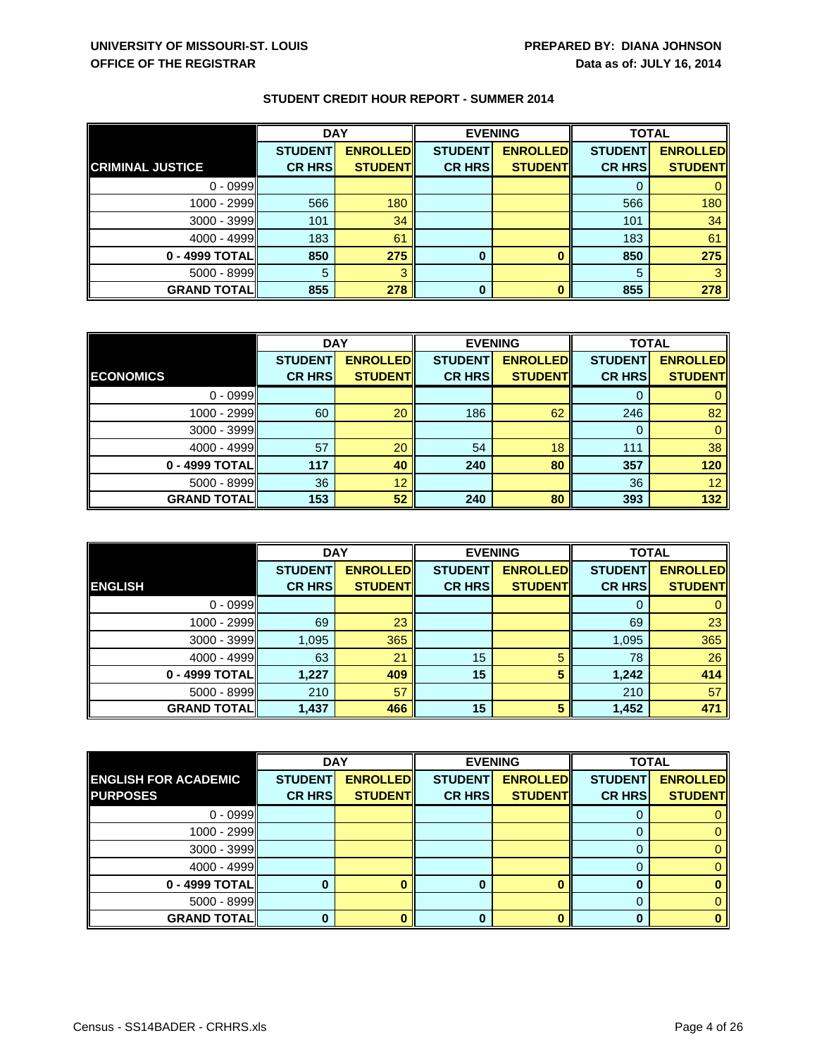|                         | <b>DAY</b>     |                 | <b>EVENING</b> |                 | <b>TOTAL</b>   |                 |
|-------------------------|----------------|-----------------|----------------|-----------------|----------------|-----------------|
|                         | <b>STUDENT</b> | <b>ENROLLED</b> | <b>STUDENT</b> | <b>ENROLLED</b> | <b>STUDENT</b> | <b>ENROLLED</b> |
| <b>CRIMINAL JUSTICE</b> | <b>CR HRS</b>  | <b>STUDENT</b>  | <b>CR HRS</b>  | <b>STUDENT</b>  | <b>CR HRS</b>  | <b>STUDENT</b>  |
| $0 - 0999$              |                |                 |                |                 |                |                 |
| 1000 - 2999             | 566            | 180             |                |                 | 566            | 180             |
| $3000 - 3999$           | 101            | 34              |                |                 | 101            | 34              |
| $4000 - 4999$           | 183            | 61              |                |                 | 183            | 61              |
| 0 - 4999 TOTAL          | 850            | 275             | 0              |                 | 850            | 275             |
| $5000 - 8999$           | 5              |                 |                |                 | 5              |                 |
| <b>GRAND TOTAL</b>      | 855            | 278             | 0              |                 | 855            | 278             |

|                    | <b>DAY</b>     |                 | <b>EVENING</b> |                 | <b>TOTAL</b>   |                 |
|--------------------|----------------|-----------------|----------------|-----------------|----------------|-----------------|
|                    | <b>STUDENT</b> | <b>ENROLLED</b> | <b>STUDENT</b> | <b>ENROLLED</b> | <b>STUDENT</b> | <b>ENROLLED</b> |
| <b>ECONOMICS</b>   | <b>CR HRS</b>  | <b>STUDENT</b>  | <b>CR HRS</b>  | <b>STUDENT</b>  | <b>CR HRS</b>  | <b>STUDENT</b>  |
| $0 - 0999$         |                |                 |                |                 |                |                 |
| 1000 - 2999        | 60             | 20              | 186            | 62              | 246            | 82              |
| $3000 - 3999$      |                |                 |                |                 | 0              |                 |
| 4000 - 4999        | 57             | 20              | 54             | 18              | 111            | 38              |
| 0 - 4999 TOTAL     | 117            | 40              | 240            | 80              | 357            | 120             |
| $5000 - 8999$      | 36             | 12              |                |                 | 36             | 12 <sup>1</sup> |
| <b>GRAND TOTAL</b> | 153            | 52              | 240            | 80              | 393            | 132             |

|                    | <b>DAY</b>     |                 | <b>EVENING</b> |                 | <b>TOTAL</b>   |                 |
|--------------------|----------------|-----------------|----------------|-----------------|----------------|-----------------|
|                    | <b>STUDENT</b> | <b>ENROLLED</b> | <b>STUDENT</b> | <b>ENROLLED</b> | <b>STUDENT</b> | <b>ENROLLED</b> |
| <b>ENGLISH</b>     | <b>CR HRS</b>  | <b>STUDENT</b>  | <b>CR HRS</b>  | <b>STUDENT</b>  | <b>CR HRS</b>  | <b>STUDENT</b>  |
| $0 - 0999$         |                |                 |                |                 |                |                 |
| 1000 - 2999        | 69             | 23              |                |                 | 69             | 23              |
| $3000 - 3999$      | 1,095          | 365             |                |                 | 1,095          | 365             |
| $4000 - 4999$      | 63             | 21              | 15             |                 | 78             | 26              |
| $0 - 4999$ TOTAL   | 1,227          | 409             | 15             | 5               | 1,242          | 414             |
| $5000 - 8999$      | 210            | 57              |                |                 | 210            | 57              |
| <b>GRAND TOTAL</b> | 1,437          | 466             | 15             | 5               | 1,452          | 471             |

|                             | <b>DAY</b>     |                 |                | <b>EVENING</b>  | <b>TOTAL</b>   |                 |
|-----------------------------|----------------|-----------------|----------------|-----------------|----------------|-----------------|
| <b>ENGLISH FOR ACADEMIC</b> | <b>STUDENT</b> | <b>ENROLLED</b> | <b>STUDENT</b> | <b>ENROLLED</b> | <b>STUDENT</b> | <b>ENROLLED</b> |
| <b>PURPOSES</b>             | <b>CR HRS</b>  | <b>STUDENT</b>  | <b>CR HRS</b>  | <b>STUDENT</b>  | <b>CR HRS</b>  | <b>STUDENT</b>  |
| $0 - 0999$                  |                |                 |                |                 |                |                 |
| $1000 - 2999$               |                |                 |                |                 |                |                 |
| $3000 - 3999$               |                |                 |                |                 |                |                 |
| $4000 - 4999$               |                |                 |                |                 |                |                 |
| $0 - 4999$ TOTAL            |                |                 | Ω              |                 |                |                 |
| $5000 - 8999$               |                |                 |                |                 |                |                 |
| <b>GRAND TOTAL</b>          |                |                 | Λ              |                 |                |                 |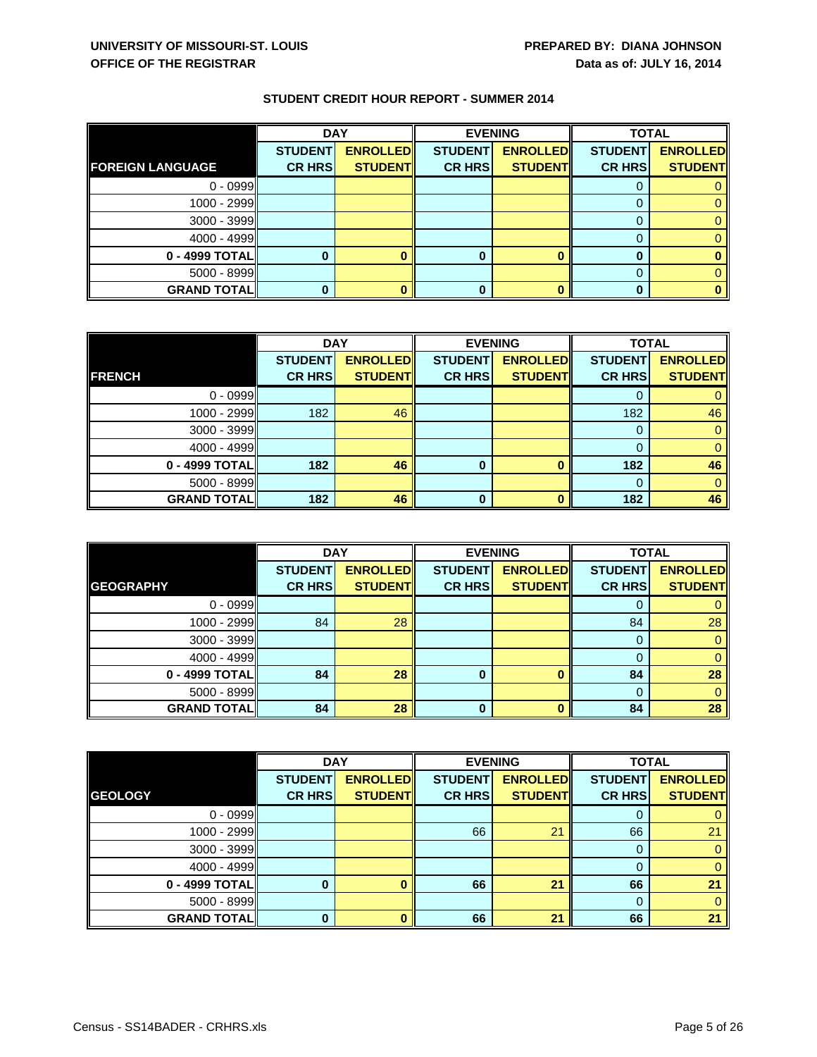|                         | <b>DAY</b>     |                 | <b>EVENING</b> |                 | <b>TOTAL</b>   |                 |
|-------------------------|----------------|-----------------|----------------|-----------------|----------------|-----------------|
|                         | <b>STUDENT</b> | <b>ENROLLED</b> | <b>STUDENT</b> | <b>ENROLLED</b> | <b>STUDENT</b> | <b>ENROLLED</b> |
| <b>FOREIGN LANGUAGE</b> | <b>CR HRS</b>  | <b>STUDENT</b>  | <b>CR HRS</b>  | <b>STUDENT</b>  | <b>CR HRS</b>  | <b>STUDENT</b>  |
| $0 - 0999$              |                |                 |                |                 |                |                 |
| $1000 - 2999$           |                |                 |                |                 |                |                 |
| $3000 - 3999$           |                |                 |                |                 |                |                 |
| $4000 - 4999$           |                |                 |                |                 |                |                 |
| $0 - 4999$ TOTAL        |                |                 | 0              |                 | 0              |                 |
| $5000 - 8999$           |                |                 |                |                 |                |                 |
| <b>GRAND TOTAL</b>      |                |                 | 0              |                 |                | 0               |

|                    | <b>DAY</b>     |                 |                | <b>EVENING</b>  | <b>TOTAL</b>   |                 |
|--------------------|----------------|-----------------|----------------|-----------------|----------------|-----------------|
|                    | <b>STUDENT</b> | <b>ENROLLED</b> | <b>STUDENT</b> | <b>ENROLLED</b> | <b>STUDENT</b> | <b>ENROLLED</b> |
| <b>FRENCH</b>      | <b>CR HRS</b>  | <b>STUDENT</b>  | <b>CR HRS</b>  | <b>STUDENT</b>  | <b>CR HRS</b>  | <b>STUDENT</b>  |
| $0 - 0999$         |                |                 |                |                 | 0              | $\mathbf{0}$    |
| $1000 - 2999$      | 182            | 46              |                |                 | 182            | 46              |
| $3000 - 3999$      |                |                 |                |                 | 0              | $\mathbf{0}$    |
| $4000 - 4999$      |                |                 |                |                 |                | $\overline{0}$  |
| $0 - 4999$ TOTAL   | 182            | 46              | $\bf{0}$       |                 | 182            | 46              |
| $5000 - 8999$      |                |                 |                |                 | $\Omega$       | $\mathbf{0}$    |
| <b>GRAND TOTAL</b> | 182            | 46              | $\bf{0}$       |                 | 182            | 46              |

|                    | <b>DAY</b>     |                 | <b>EVENING</b> |                 | <b>TOTAL</b>   |                 |
|--------------------|----------------|-----------------|----------------|-----------------|----------------|-----------------|
|                    | <b>STUDENT</b> | <b>ENROLLED</b> | <b>STUDENT</b> | <b>ENROLLED</b> | <b>STUDENT</b> | <b>ENROLLED</b> |
| <b>GEOGRAPHY</b>   | <b>CR HRS</b>  | <b>STUDENT</b>  | <b>CR HRS</b>  | <b>STUDENT</b>  | <b>CR HRS</b>  | <b>STUDENT</b>  |
| $0 - 0999$         |                |                 |                |                 |                |                 |
| $1000 - 2999$      | 84             | 28              |                |                 | 84             | 28              |
| $3000 - 3999$      |                |                 |                |                 | 0              | 0               |
| $4000 - 4999$      |                |                 |                |                 |                |                 |
| 0 - 4999 TOTAL     | 84             | 28              | 0              |                 | 84             | 28              |
| $5000 - 8999$      |                |                 |                |                 |                | 0               |
| <b>GRAND TOTAL</b> | 84             | 28              | $\bf{0}$       |                 | 84             | 28              |

|                    | <b>DAY</b>     |                 | <b>EVENING</b> |                 | <b>TOTAL</b>   |                 |
|--------------------|----------------|-----------------|----------------|-----------------|----------------|-----------------|
|                    | <b>STUDENT</b> | <b>ENROLLED</b> | <b>STUDENT</b> | <b>ENROLLED</b> | <b>STUDENT</b> | <b>ENROLLED</b> |
| <b>GEOLOGY</b>     | <b>CR HRS</b>  | <b>STUDENT</b>  | <b>CR HRS</b>  | <b>STUDENT</b>  | <b>CR HRS</b>  | <b>STUDENT</b>  |
| $0 - 0999$         |                |                 |                |                 |                |                 |
| $1000 - 2999$      |                |                 | 66             | 21              | 66             | 21              |
| $3000 - 3999$      |                |                 |                |                 | 0              |                 |
| $4000 - 4999$      |                |                 |                |                 | 0              | 0               |
| 0 - 4999 TOTAL     | 0              |                 | 66             | 21              | 66             | 21              |
| $5000 - 8999$      |                |                 |                |                 | 0              |                 |
| <b>GRAND TOTAL</b> | U              |                 | 66             | 21              | 66             | 21              |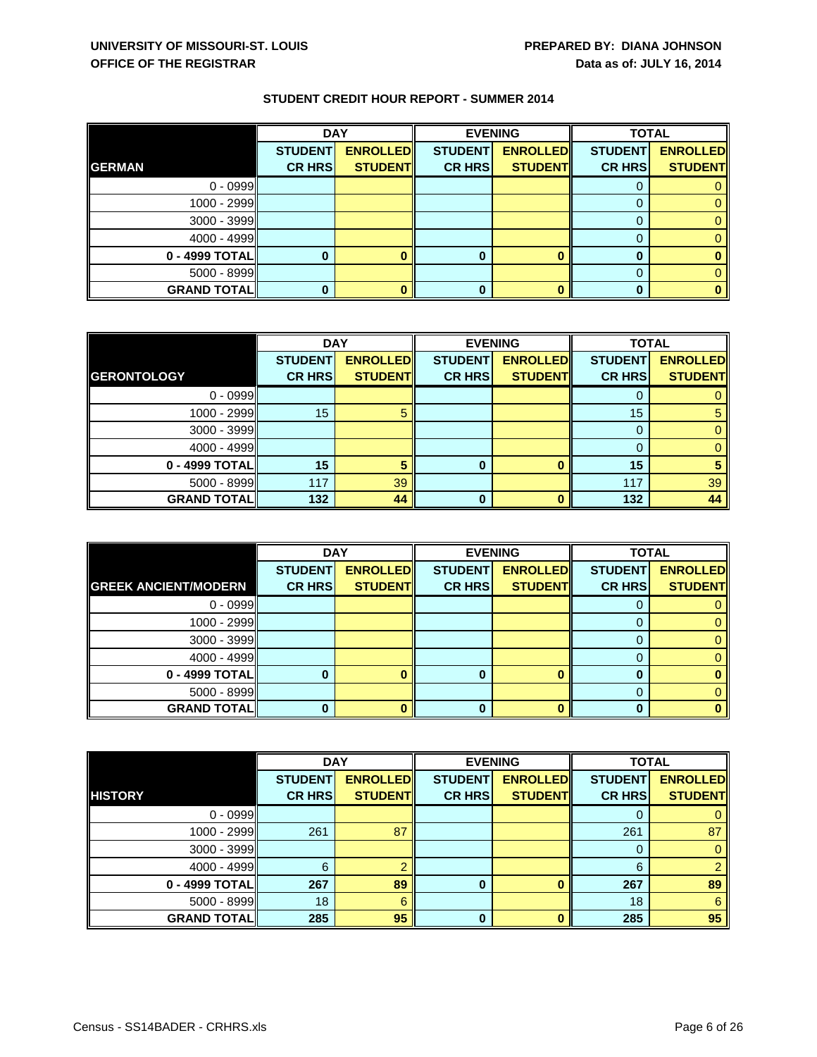|                    | <b>DAY</b>     |                 |                | <b>EVENING</b>  | <b>TOTAL</b>   |                 |
|--------------------|----------------|-----------------|----------------|-----------------|----------------|-----------------|
|                    | <b>STUDENT</b> | <b>ENROLLED</b> | <b>STUDENT</b> | <b>ENROLLED</b> | <b>STUDENT</b> | <b>ENROLLED</b> |
| <b>GERMAN</b>      | <b>CR HRS</b>  | <b>STUDENT</b>  | <b>CR HRS</b>  | <b>STUDENT</b>  | <b>CR HRS</b>  | <b>STUDENT</b>  |
| $0 - 0999$         |                |                 |                |                 |                |                 |
| 1000 - 2999        |                |                 |                |                 |                |                 |
| $3000 - 3999$      |                |                 |                |                 |                |                 |
| $4000 - 4999$      |                |                 |                |                 |                |                 |
| $0 - 4999$ TOTAL   |                |                 | 0              |                 | 0              |                 |
| $5000 - 8999$      |                |                 |                |                 |                |                 |
| <b>GRAND TOTAL</b> |                |                 | 0              |                 | 0              | 0               |

|                    | <b>DAY</b>     |                 | <b>EVENING</b> |                 | <b>TOTAL</b>   |                 |
|--------------------|----------------|-----------------|----------------|-----------------|----------------|-----------------|
|                    | <b>STUDENT</b> | <b>ENROLLED</b> | <b>STUDENT</b> | <b>ENROLLED</b> | <b>STUDENT</b> | <b>ENROLLED</b> |
| <b>GERONTOLOGY</b> | <b>CR HRS</b>  | <b>STUDENT</b>  | <b>CR HRS</b>  | <b>STUDENT</b>  | <b>CR HRS</b>  | <b>STUDENT</b>  |
| $0 - 0999$         |                |                 |                |                 |                | 0               |
| 1000 - 2999        | 15             | 5               |                |                 | 15             | $\sqrt{5}$      |
| $3000 - 3999$      |                |                 |                |                 | 0              | 0               |
| $4000 - 4999$      |                |                 |                |                 |                | $\overline{0}$  |
| $0 - 4999$ TOTAL   | 15             |                 | 0              |                 | 15             | 5               |
| $5000 - 8999$      | 117            | 39              |                |                 | 117            | 39              |
| <b>GRAND TOTAL</b> | 132            | 44              | 0              |                 | 132            | 44              |

|                             | <b>DAY</b>     |                 | <b>EVENING</b> |                 | <b>TOTAL</b>   |                 |
|-----------------------------|----------------|-----------------|----------------|-----------------|----------------|-----------------|
|                             | <b>STUDENT</b> | <b>ENROLLED</b> | <b>STUDENT</b> | <b>ENROLLED</b> | <b>STUDENT</b> | <b>ENROLLED</b> |
| <b>GREEK ANCIENT/MODERN</b> | <b>CR HRS</b>  | <b>STUDENT</b>  | <b>CR HRS</b>  | <b>STUDENT</b>  | <b>CR HRS</b>  | <b>STUDENT</b>  |
| $0 - 0999$                  |                |                 |                |                 |                |                 |
| $1000 - 2999$               |                |                 |                |                 |                |                 |
| $3000 - 3999$               |                |                 |                |                 |                |                 |
| $4000 - 4999$               |                |                 |                |                 |                |                 |
| $0 - 4999$ TOTAL            |                |                 | 0              |                 |                |                 |
| $5000 - 8999$               |                |                 |                |                 |                |                 |
| <b>GRAND TOTAL</b>          |                |                 | 0              |                 |                |                 |

|                    | <b>DAY</b>     |                 | <b>EVENING</b> |                 | <b>TOTAL</b>   |                 |
|--------------------|----------------|-----------------|----------------|-----------------|----------------|-----------------|
|                    | <b>STUDENT</b> | <b>ENROLLED</b> | <b>STUDENT</b> | <b>ENROLLED</b> | <b>STUDENT</b> | <b>ENROLLED</b> |
| <b>HISTORY</b>     | <b>CR HRS</b>  | <b>STUDENT</b>  | <b>CR HRS</b>  | <b>STUDENT</b>  | <b>CR HRS</b>  | <b>STUDENT</b>  |
| $0 - 0999$         |                |                 |                |                 |                |                 |
| $1000 - 2999$      | 261            | 87              |                |                 | 261            | 87              |
| $3000 - 3999$      |                |                 |                |                 | 0              |                 |
| $4000 - 4999$      | 6              |                 |                |                 | 6              | 2               |
| 0 - 4999 TOTAL     | 267            | 89              | 0              |                 | 267            | 89              |
| $5000 - 8999$      | 18             | 6               |                |                 | 18             | 6               |
| <b>GRAND TOTAL</b> | 285            | 95              | 0              |                 | 285            | 95              |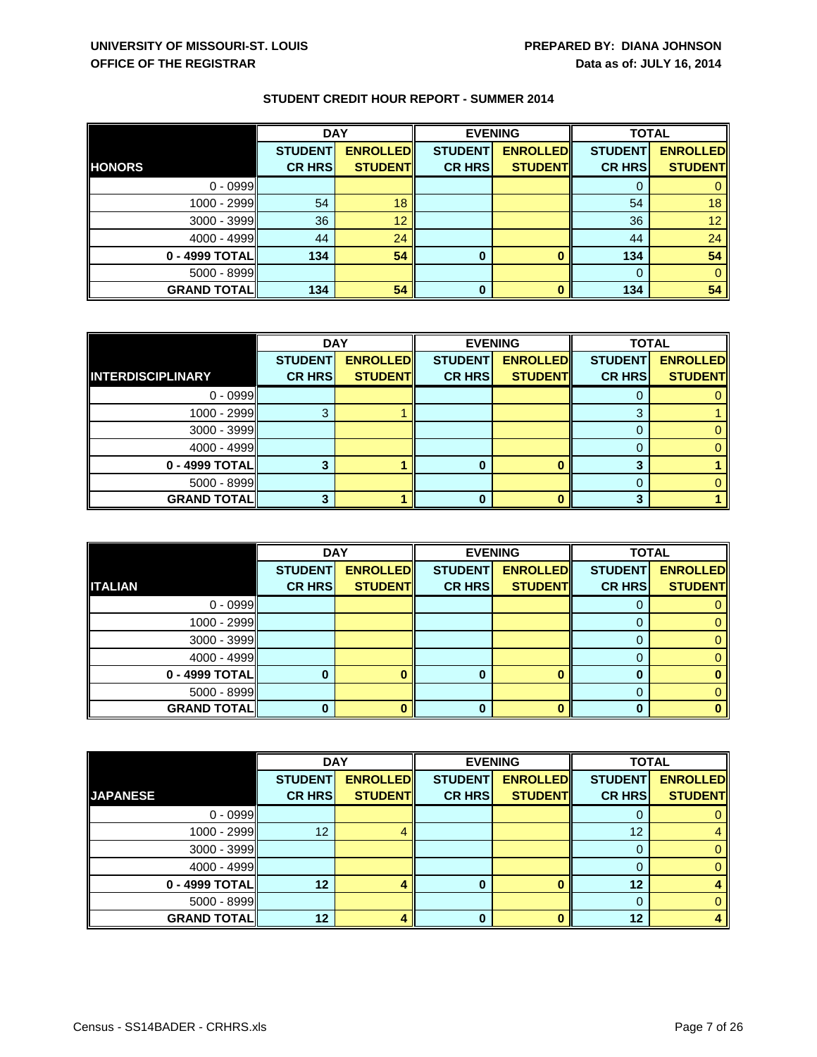|                    | <b>DAY</b>     |                 | <b>EVENING</b> |                 | <b>TOTAL</b>   |                 |
|--------------------|----------------|-----------------|----------------|-----------------|----------------|-----------------|
|                    | <b>STUDENT</b> | <b>ENROLLED</b> | <b>STUDENT</b> | <b>ENROLLED</b> | <b>STUDENT</b> | <b>ENROLLED</b> |
| <b>HONORS</b>      | <b>CR HRS</b>  | <b>STUDENT</b>  | <b>CR HRS</b>  | <b>STUDENT</b>  | <b>CR HRS</b>  | <b>STUDENT</b>  |
| $0 - 0999$         |                |                 |                |                 | 0              |                 |
| 1000 - 2999        | 54             | 18              |                |                 | 54             | 18 <sup>°</sup> |
| $3000 - 3999$      | 36             | 12              |                |                 | 36             | 12 <sub>1</sub> |
| $4000 - 4999$      | 44             | 24              |                |                 | 44             | 24              |
| $0 - 4999$ TOTAL   | 134            | 54              | $\bf{0}$       |                 | 134            | 54              |
| $5000 - 8999$      |                |                 |                |                 | $\Omega$       | 0               |
| <b>GRAND TOTAL</b> | 134            | 54              | 0              |                 | 134            | 54              |

|                          | <b>DAY</b>     |                 | <b>EVENING</b> |                 | <b>TOTAL</b>   |                 |
|--------------------------|----------------|-----------------|----------------|-----------------|----------------|-----------------|
|                          | <b>STUDENT</b> | <b>ENROLLED</b> | <b>STUDENT</b> | <b>ENROLLED</b> | <b>STUDENT</b> | <b>ENROLLED</b> |
| <b>INTERDISCIPLINARY</b> | <b>CR HRS</b>  | <b>STUDENT</b>  | <b>CR HRS</b>  | <b>STUDENT</b>  | <b>CR HRS</b>  | <b>STUDENT</b>  |
| $0 - 0999$               |                |                 |                |                 |                |                 |
| 1000 - 2999              |                |                 |                |                 | 3              |                 |
| $3000 - 3999$            |                |                 |                |                 |                |                 |
| $4000 - 4999$            |                |                 |                |                 |                |                 |
| $0 - 4999$ TOTAL         |                |                 |                |                 |                |                 |
| $5000 - 8999$            |                |                 |                |                 |                |                 |
| <b>GRAND TOTAL</b>       |                |                 |                |                 |                |                 |

|                    | <b>DAY</b>     |                 | <b>EVENING</b> |                 | <b>TOTAL</b>   |                 |
|--------------------|----------------|-----------------|----------------|-----------------|----------------|-----------------|
|                    | <b>STUDENT</b> | <b>ENROLLED</b> | <b>STUDENT</b> | <b>ENROLLED</b> | <b>STUDENT</b> | <b>ENROLLED</b> |
| <b>ITALIAN</b>     | <b>CR HRS</b>  | <b>STUDENT</b>  | <b>CR HRS</b>  | <b>STUDENT</b>  | <b>CR HRS</b>  | <b>STUDENT</b>  |
| $0 - 0999$         |                |                 |                |                 |                |                 |
| 1000 - 2999        |                |                 |                |                 |                |                 |
| $3000 - 3999$      |                |                 |                |                 |                |                 |
| $4000 - 4999$      |                |                 |                |                 |                |                 |
| $0 - 4999$ TOTAL   |                |                 | 0              |                 |                |                 |
| $5000 - 8999$      |                |                 |                |                 |                |                 |
| <b>GRAND TOTAL</b> |                |                 | 0              |                 |                |                 |

|                    | <b>DAY</b>     |                 |                | <b>EVENING</b>  | <b>TOTAL</b>   |                 |
|--------------------|----------------|-----------------|----------------|-----------------|----------------|-----------------|
|                    | <b>STUDENT</b> | <b>ENROLLED</b> | <b>STUDENT</b> | <b>ENROLLED</b> | <b>STUDENT</b> | <b>ENROLLED</b> |
| <b>JAPANESE</b>    | <b>CR HRS</b>  | <b>STUDENT</b>  | <b>CR HRS</b>  | <b>STUDENT</b>  | <b>CR HRS</b>  | <b>STUDENT</b>  |
| $0 - 0999$         |                |                 |                |                 | 0              | 0               |
| 1000 - 2999        | 12             |                 |                |                 | 12             | 4               |
| $3000 - 3999$      |                |                 |                |                 | 0              | 0               |
| $4000 - 4999$      |                |                 |                |                 |                | $\overline{0}$  |
| $0 - 4999$ TOTAL   | 12             |                 | 0              |                 | 12             |                 |
| $5000 - 8999$      |                |                 |                |                 | 0              | 0               |
| <b>GRAND TOTAL</b> | $12 \,$        |                 | Λ              |                 | 12             |                 |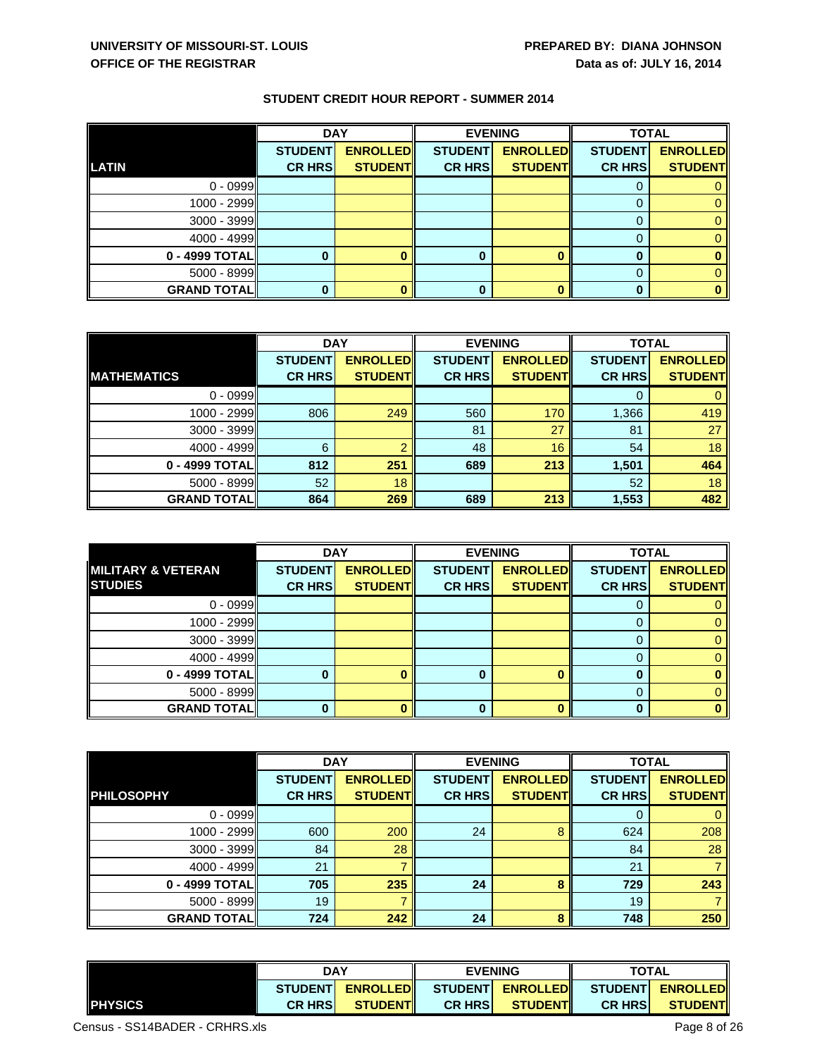|                    | <b>DAY</b>     |                 | <b>EVENING</b> |                 | <b>TOTAL</b>   |                 |
|--------------------|----------------|-----------------|----------------|-----------------|----------------|-----------------|
|                    | <b>STUDENT</b> | <b>ENROLLED</b> | <b>STUDENT</b> | <b>ENROLLED</b> | <b>STUDENT</b> | <b>ENROLLED</b> |
| <b>LATIN</b>       | <b>CR HRS</b>  | <b>STUDENT</b>  | <b>CR HRS</b>  | <b>STUDENT</b>  | <b>CR HRS</b>  | <b>STUDENT</b>  |
| $0 - 0999$         |                |                 |                |                 |                |                 |
| 1000 - 2999        |                |                 |                |                 |                |                 |
| $3000 - 3999$      |                |                 |                |                 |                |                 |
| $4000 - 4999$      |                |                 |                |                 |                |                 |
| $0 - 4999$ TOTAL   |                |                 | 0              |                 | 0              |                 |
| $5000 - 8999$      |                |                 |                |                 |                |                 |
| <b>GRAND TOTAL</b> |                |                 | 0              |                 | 0              | 0               |

|                    | <b>DAY</b>     |                 | <b>EVENING</b> |                 | <b>TOTAL</b>   |                 |
|--------------------|----------------|-----------------|----------------|-----------------|----------------|-----------------|
|                    | <b>STUDENT</b> | <b>ENROLLED</b> | <b>STUDENT</b> | <b>ENROLLED</b> | <b>STUDENT</b> | <b>ENROLLED</b> |
| <b>MATHEMATICS</b> | <b>CR HRS</b>  | <b>STUDENT</b>  | <b>CR HRS</b>  | <b>STUDENT</b>  | <b>CR HRS</b>  | <b>STUDENT</b>  |
| $0 - 0999$         |                |                 |                |                 | 0              |                 |
| $1000 - 2999$      | 806            | 249             | 560            | 170             | 1,366          | 419             |
| $3000 - 3999$      |                |                 | 81             | 27              | 81             | 27              |
| 4000 - 4999        | 6              |                 | 48             | 16              | 54             | 18              |
| 0 - 4999 TOTAL     | 812            | 251             | 689            | 213             | 1,501          | 464             |
| $5000 - 8999$      | 52             | 18              |                |                 | 52             | 18              |
| <b>GRAND TOTAL</b> | 864            | 269             | 689            | 213             | 1,553          | 482             |

|                               | <b>DAY</b>     |                 |                | <b>EVENING</b>  | <b>TOTAL</b>   |                 |
|-------------------------------|----------------|-----------------|----------------|-----------------|----------------|-----------------|
| <b>MILITARY &amp; VETERAN</b> | <b>STUDENT</b> | <b>ENROLLED</b> | <b>STUDENT</b> | <b>ENROLLED</b> | <b>STUDENT</b> | <b>ENROLLED</b> |
| <b>STUDIES</b>                | <b>CR HRS</b>  | <b>STUDENT</b>  | <b>CR HRS</b>  | <b>STUDENT</b>  | <b>CR HRS</b>  | <b>STUDENT</b>  |
| $0 - 0999$                    |                |                 |                |                 |                |                 |
| $1000 - 2999$                 |                |                 |                |                 |                |                 |
| $3000 - 3999$                 |                |                 |                |                 |                |                 |
| $4000 - 4999$                 |                |                 |                |                 |                |                 |
| $0 - 4999$ TOTAL              |                |                 |                |                 |                |                 |
| $5000 - 8999$                 |                |                 |                |                 |                |                 |
| <b>GRAND TOTAL</b>            |                |                 | 0              |                 |                |                 |

|                    | <b>DAY</b>     |                 | <b>EVENING</b> |                 | <b>TOTAL</b>   |                 |
|--------------------|----------------|-----------------|----------------|-----------------|----------------|-----------------|
|                    | <b>STUDENT</b> | <b>ENROLLED</b> | <b>STUDENT</b> | <b>ENROLLED</b> | <b>STUDENT</b> | <b>ENROLLED</b> |
| <b>PHILOSOPHY</b>  | <b>CR HRS</b>  | <b>STUDENT</b>  | <b>CR HRS</b>  | <b>STUDENT</b>  | <b>CR HRS</b>  | <b>STUDENT</b>  |
| $0 - 0999$         |                |                 |                |                 |                | $\mathbf{0}$    |
| 1000 - 2999        | 600            | 200             | 24             |                 | 624            | 208             |
| $3000 - 3999$      | 84             | 28              |                |                 | 84             | 28              |
| $4000 - 4999$      | 21             |                 |                |                 | 21             | 7               |
| $0 - 4999$ TOTAL   | 705            | 235             | 24             | 8               | 729            | 243             |
| $5000 - 8999$      | 19             |                 |                |                 | 19             |                 |
| <b>GRAND TOTAL</b> | 724            | 242             | 24             | Զ               | 748            | 250             |

|                | <b>DAY</b>      |                 | <b>EVENING</b> |                  | <b>TOTAL</b>   |                  |
|----------------|-----------------|-----------------|----------------|------------------|----------------|------------------|
|                | <b>STUDENTI</b> | <b>ENROLLED</b> |                | STUDENT ENROLLED |                | STUDENT ENROLLED |
| <b>PHYSICS</b> | <b>CR HRSI</b>  | <b>STUDENTI</b> | <b>CR HRSI</b> | <b>STUDENTI</b>  | <b>CR HRSI</b> | <b>STUDENTI</b>  |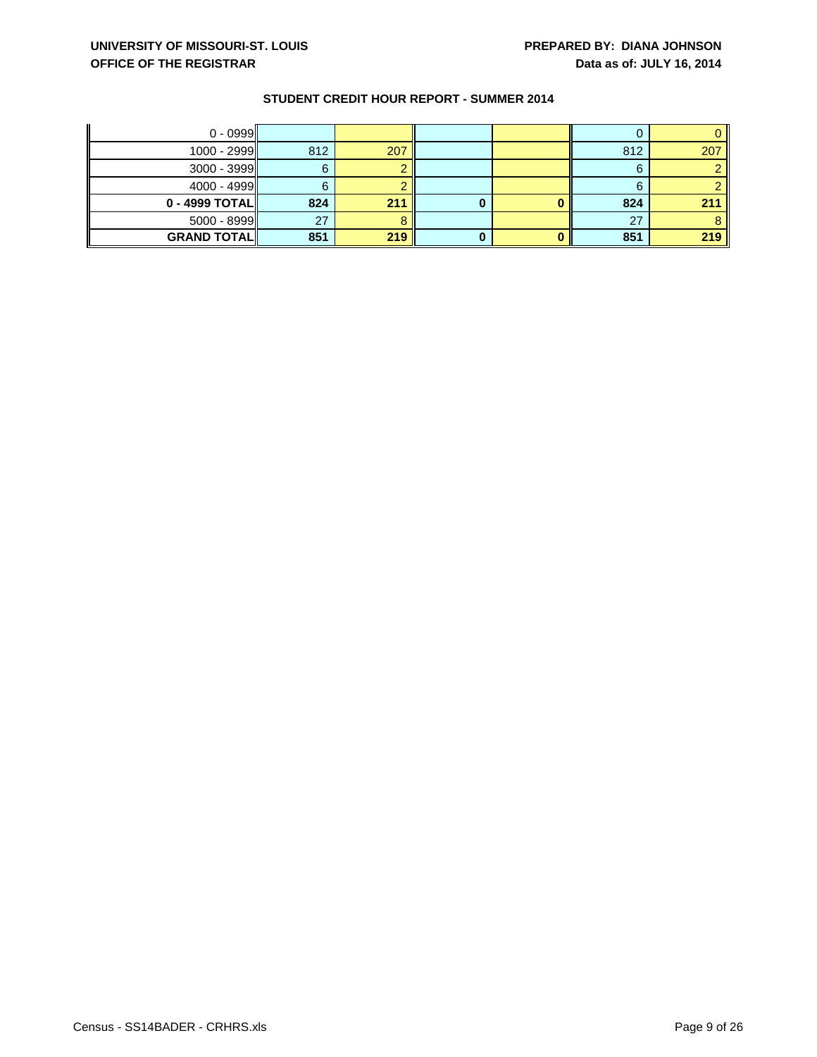| $0 - 0999$         |     |     |   |     |     |
|--------------------|-----|-----|---|-----|-----|
| 1000 - 2999        | 812 | 207 |   | 812 | 207 |
| $3000 - 3999$      |     |     |   | 6   |     |
| $4000 - 4999$      |     |     |   | 6   |     |
| $0 - 4999$ TOTAL   | 824 | 211 | υ | 824 | 211 |
| $5000 - 8999$      | 27  |     |   | 27  |     |
| <b>GRAND TOTAL</b> | 851 | 219 |   | 851 | 219 |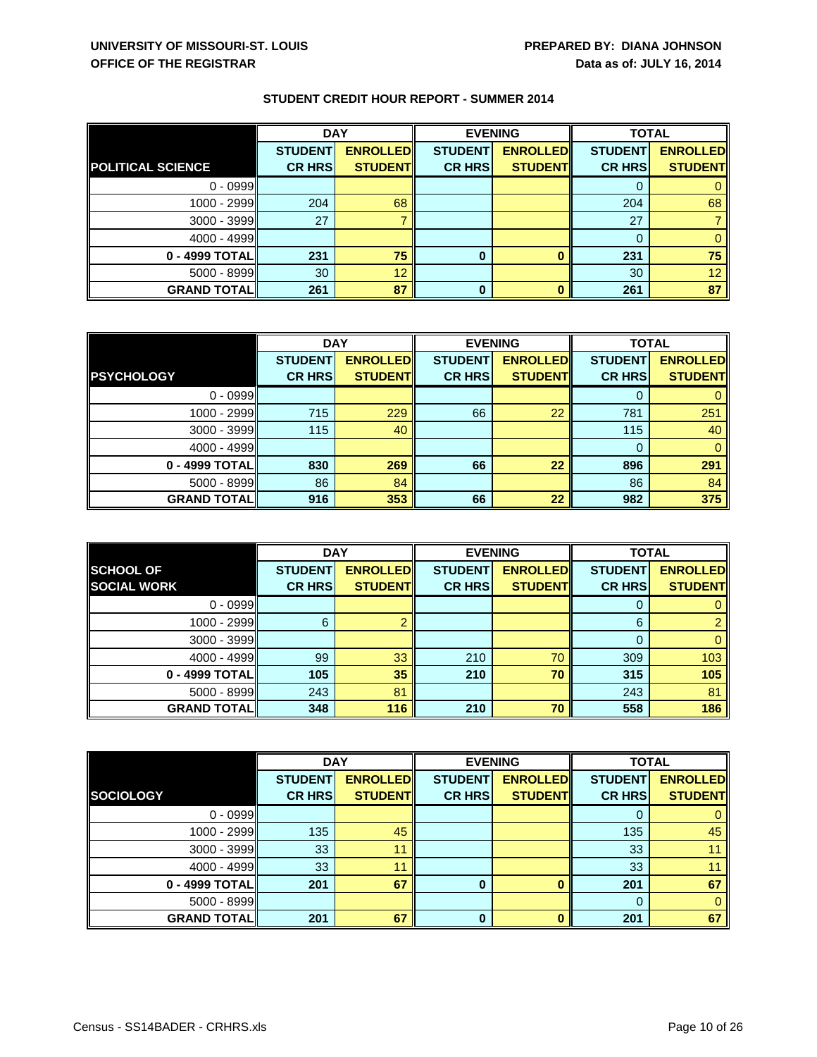|                          | <b>DAY</b>     |                 |                | <b>EVENING</b>  | <b>TOTAL</b>   |                 |
|--------------------------|----------------|-----------------|----------------|-----------------|----------------|-----------------|
|                          | <b>STUDENT</b> | <b>ENROLLED</b> | <b>STUDENT</b> | <b>ENROLLED</b> | <b>STUDENT</b> | <b>ENROLLED</b> |
| <b>POLITICAL SCIENCE</b> | <b>CR HRS</b>  | <b>STUDENT</b>  | <b>CR HRS</b>  | <b>STUDENT</b>  | <b>CR HRS</b>  | <b>STUDENT</b>  |
| $0 - 0999$               |                |                 |                |                 |                |                 |
| $1000 - 2999$            | 204            | 68              |                |                 | 204            | 68              |
| $3000 - 3999$            | 27             |                 |                |                 | 27             |                 |
| 4000 - 4999              |                |                 |                |                 |                |                 |
| 0 - 4999 TOTAL           | 231            | 75              | 0              |                 | 231            | 75              |
| $5000 - 8999$            | 30             | 12              |                |                 | 30             | 12 <sub>2</sub> |
| <b>GRAND TOTAL</b>       | 261            | 87              | 0              |                 | 261            | 87              |

|                    | <b>DAY</b>     |                 | <b>EVENING</b> |                 | <b>TOTAL</b>   |                 |
|--------------------|----------------|-----------------|----------------|-----------------|----------------|-----------------|
|                    | <b>STUDENT</b> | <b>ENROLLED</b> | <b>STUDENT</b> | <b>ENROLLED</b> | <b>STUDENT</b> | <b>ENROLLED</b> |
| <b>PSYCHOLOGY</b>  | <b>CR HRS</b>  | <b>STUDENT</b>  | <b>CR HRS</b>  | <b>STUDENT</b>  | <b>CR HRS</b>  | <b>STUDENT</b>  |
| $0 - 0999$         |                |                 |                |                 |                |                 |
| 1000 - 2999        | 715            | 229             | 66             | 22              | 781            | 251             |
| $3000 - 3999$      | 115            | 40              |                |                 | 115            | 40              |
| 4000 - 4999        |                |                 |                |                 | 0              |                 |
| 0 - 4999 TOTAL     | 830            | 269             | 66             | 22              | 896            | 291             |
| $5000 - 8999$      | 86             | 84              |                |                 | 86             | 84              |
| <b>GRAND TOTAL</b> | 916            | 353             | 66             | 22              | 982            | 375             |

|                    | <b>DAY</b>     |                 | <b>EVENING</b> |                 | <b>TOTAL</b>   |                 |
|--------------------|----------------|-----------------|----------------|-----------------|----------------|-----------------|
| <b>SCHOOL OF</b>   | <b>STUDENT</b> | <b>ENROLLED</b> | <b>STUDENT</b> | <b>ENROLLED</b> | <b>STUDENT</b> | <b>ENROLLED</b> |
| <b>SOCIAL WORK</b> | <b>CR HRS</b>  | <b>STUDENT</b>  | <b>CR HRS</b>  | <b>STUDENT</b>  | <b>CR HRS</b>  | <b>STUDENT</b>  |
| $0 - 0999$         |                |                 |                |                 |                |                 |
| $1000 - 2999$      | 6              |                 |                |                 | 6              |                 |
| $3000 - 3999$      |                |                 |                |                 | 0              | 0               |
| $4000 - 4999$      | 99             | 33              | 210            | 70              | 309            | 103             |
| 0 - 4999 TOTAL     | 105            | 35              | 210            | 70              | 315            | 105             |
| $5000 - 8999$      | 243            | 81              |                |                 | 243            | 81              |
| <b>GRAND TOTAL</b> | 348            | 116             | 210            | 70              | 558            | 186             |

|                    | <b>DAY</b>     |                 | <b>EVENING</b> |                 | <b>TOTAL</b>   |                 |
|--------------------|----------------|-----------------|----------------|-----------------|----------------|-----------------|
|                    | <b>STUDENT</b> | <b>ENROLLED</b> | <b>STUDENT</b> | <b>ENROLLED</b> | <b>STUDENT</b> | <b>ENROLLED</b> |
| SOCIOLOGY          | <b>CR HRS</b>  | <b>STUDENT</b>  | <b>CR HRS</b>  | <b>STUDENT</b>  | <b>CR HRS</b>  | <b>STUDENT</b>  |
| $0 - 0999$         |                |                 |                |                 |                |                 |
| 1000 - 2999        | 135            | 45              |                |                 | 135            | 45              |
| $3000 - 3999$      | 33             | 11              |                |                 | 33             |                 |
| $4000 - 4999$      | 33             | 11              |                |                 | 33             |                 |
| 0 - 4999 TOTAL     | 201            | 67              | 0              |                 | 201            | 67              |
| $5000 - 8999$      |                |                 |                |                 | 0              |                 |
| <b>GRAND TOTAL</b> | 201            | 67              | 0              |                 | 201            | 67              |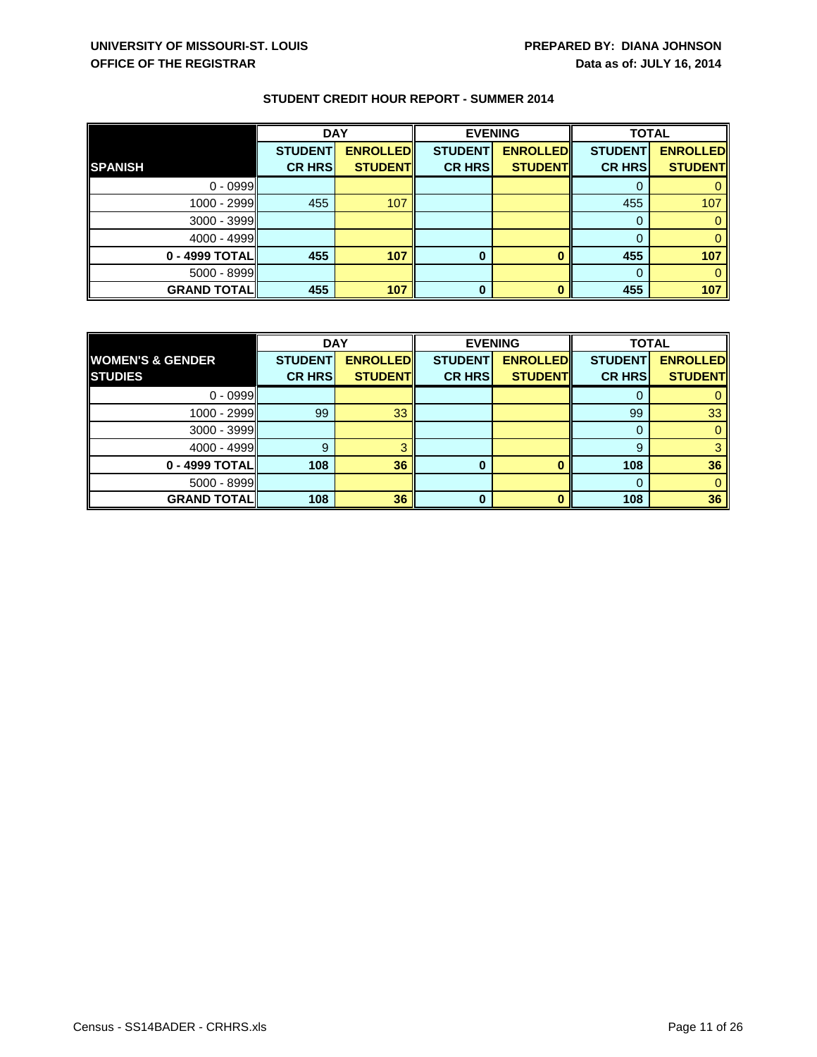|                    | <b>DAY</b>     |                 |                | <b>EVENING</b>  | <b>TOTAL</b>   |                 |
|--------------------|----------------|-----------------|----------------|-----------------|----------------|-----------------|
|                    | <b>STUDENT</b> | <b>ENROLLED</b> | <b>STUDENT</b> | <b>ENROLLED</b> | <b>STUDENT</b> | <b>ENROLLED</b> |
| <b>SPANISH</b>     | <b>CR HRS</b>  | <b>STUDENT</b>  | <b>CR HRS</b>  | <b>STUDENT</b>  | <b>CR HRS</b>  | <b>STUDENT</b>  |
| $0 - 0999$         |                |                 |                |                 |                |                 |
| 1000 - 2999        | 455            | 107             |                |                 | 455            | 107             |
| $3000 - 3999$      |                |                 |                |                 |                |                 |
| 4000 - 4999        |                |                 |                |                 |                |                 |
| 0 - 4999 TOTAL     | 455            | 107             | 0              |                 | 455            | 107             |
| $5000 - 8999$      |                |                 |                |                 | $\Omega$       |                 |
| <b>GRAND TOTAL</b> | 455            | 107             | 0              |                 | 455            | 107             |

|                             | <b>DAY</b>     |                 |                | <b>EVENING</b>  | <b>TOTAL</b>   |                 |
|-----------------------------|----------------|-----------------|----------------|-----------------|----------------|-----------------|
| <b>WOMEN'S &amp; GENDER</b> | <b>STUDENT</b> | <b>ENROLLED</b> | <b>STUDENT</b> | <b>ENROLLED</b> | <b>STUDENT</b> | <b>ENROLLED</b> |
| <b>STUDIES</b>              | <b>CR HRS</b>  | <b>STUDENT</b>  | <b>CR HRS</b>  | <b>STUDENT</b>  | <b>CR HRS</b>  | <b>STUDENT</b>  |
| $0 - 0999$                  |                |                 |                |                 |                |                 |
| 1000 - 2999                 | 99             | 33              |                |                 | 99             | 33              |
| 3000 - 3999                 |                |                 |                |                 | 0              |                 |
| 4000 - 4999                 | 9              |                 |                |                 | 9              |                 |
| 0 - 4999 TOTAL              | 108            | 36              | 0              |                 | 108            | 36              |
| $5000 - 8999$               |                |                 |                |                 | $\Omega$       |                 |
| <b>GRAND TOTAL</b>          | 108            | 36              | $\bf{0}$       |                 | 108            | 36              |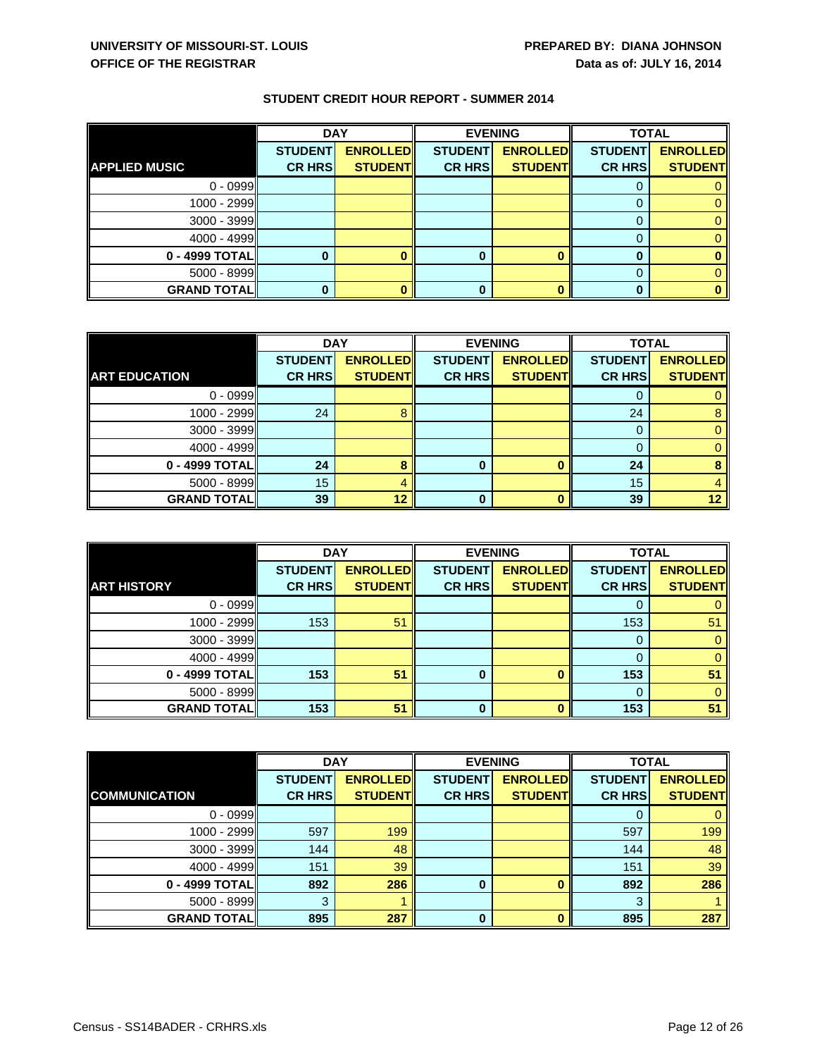|                      | <b>DAY</b>     |                 |                | <b>EVENING</b>  |                | <b>TOTAL</b>    |  |
|----------------------|----------------|-----------------|----------------|-----------------|----------------|-----------------|--|
|                      | <b>STUDENT</b> | <b>ENROLLED</b> | <b>STUDENT</b> | <b>ENROLLED</b> | <b>STUDENT</b> | <b>ENROLLED</b> |  |
| <b>APPLIED MUSIC</b> | <b>CR HRS</b>  | <b>STUDENT</b>  | <b>CR HRS</b>  | <b>STUDENT</b>  | <b>CR HRS</b>  | <b>STUDENT</b>  |  |
| $0 - 0999$           |                |                 |                |                 |                |                 |  |
| $1000 - 2999$        |                |                 |                |                 |                |                 |  |
| $3000 - 3999$        |                |                 |                |                 |                |                 |  |
| $4000 - 4999$        |                |                 |                |                 |                |                 |  |
| 0 - 4999 TOTAL       |                |                 |                |                 |                |                 |  |
| $5000 - 8999$        |                |                 |                |                 |                |                 |  |
| <b>GRAND TOTAL</b>   |                |                 | 0              |                 |                |                 |  |

|                      | <b>DAY</b>     |                 | <b>EVENING</b> |                 | <b>TOTAL</b>   |                 |
|----------------------|----------------|-----------------|----------------|-----------------|----------------|-----------------|
|                      | <b>STUDENT</b> | <b>ENROLLED</b> | <b>STUDENT</b> | <b>ENROLLED</b> | <b>STUDENT</b> | <b>ENROLLED</b> |
| <b>ART EDUCATION</b> | <b>CR HRS</b>  | <b>STUDENT</b>  | <b>CR HRS</b>  | <b>STUDENT</b>  | <b>CR HRS</b>  | <b>STUDENT</b>  |
| $0 - 0999$           |                |                 |                |                 |                | 0               |
| 1000 - 2999          | 24             |                 |                |                 | 24             | 8               |
| $3000 - 3999$        |                |                 |                |                 | 0              | 0               |
| $4000 - 4999$        |                |                 |                |                 |                | 0               |
| $0 - 4999$ TOTAL     | 24             |                 | 0              |                 | 24             | 8               |
| $5000 - 8999$        | 15             | 4               |                |                 | 15             | $\overline{4}$  |
| <b>GRAND TOTAL</b>   | 39             | 12              | 0              |                 | 39             | 12 <sub>2</sub> |

|                    | <b>DAY</b>     |                 | <b>EVENING</b> |                 | <b>TOTAL</b>   |                 |
|--------------------|----------------|-----------------|----------------|-----------------|----------------|-----------------|
|                    | <b>STUDENT</b> | <b>ENROLLED</b> | <b>STUDENT</b> | <b>ENROLLED</b> | <b>STUDENT</b> | <b>ENROLLED</b> |
| <b>ART HISTORY</b> | <b>CR HRS</b>  | <b>STUDENT</b>  | <b>CR HRS</b>  | <b>STUDENT</b>  | <b>CR HRS</b>  | <b>STUDENT</b>  |
| $0 - 0999$         |                |                 |                |                 |                |                 |
| $1000 - 2999$      | 153            | 51              |                |                 | 153            | 51              |
| $3000 - 3999$      |                |                 |                |                 | 0              |                 |
| $4000 - 4999$      |                |                 |                |                 |                |                 |
| 0 - 4999 TOTAL     | 153            | 51              | 0              |                 | 153            | 51              |
| $5000 - 8999$      |                |                 |                |                 |                |                 |
| <b>GRAND TOTAL</b> | 153            | 51              | $\bf{0}$       |                 | 153            | 51              |

|                      | <b>DAY</b>     |                 | <b>EVENING</b> |                 | <b>TOTAL</b>   |                 |
|----------------------|----------------|-----------------|----------------|-----------------|----------------|-----------------|
|                      | <b>STUDENT</b> | <b>ENROLLED</b> | <b>STUDENT</b> | <b>ENROLLED</b> | <b>STUDENT</b> | <b>ENROLLED</b> |
| <b>COMMUNICATION</b> | <b>CR HRS</b>  | <b>STUDENT</b>  | <b>CR HRS</b>  | <b>STUDENT</b>  | <b>CR HRS</b>  | <b>STUDENT</b>  |
| $0 - 0999$           |                |                 |                |                 |                | $\mathbf{0}$    |
| $1000 - 2999$        | 597            | 199             |                |                 | 597            | 199             |
| $3000 - 3999$        | 144            | 48              |                |                 | 144            | 48              |
| $4000 - 4999$        | 151            | 39              |                |                 | 151            | 39              |
| 0 - 4999 TOTAL       | 892            | 286             | 0              |                 | 892            | 286             |
| $5000 - 8999$        | 3              |                 |                |                 | 3              |                 |
| <b>GRAND TOTAL</b>   | 895            | 287             | 0              |                 | 895            | 287             |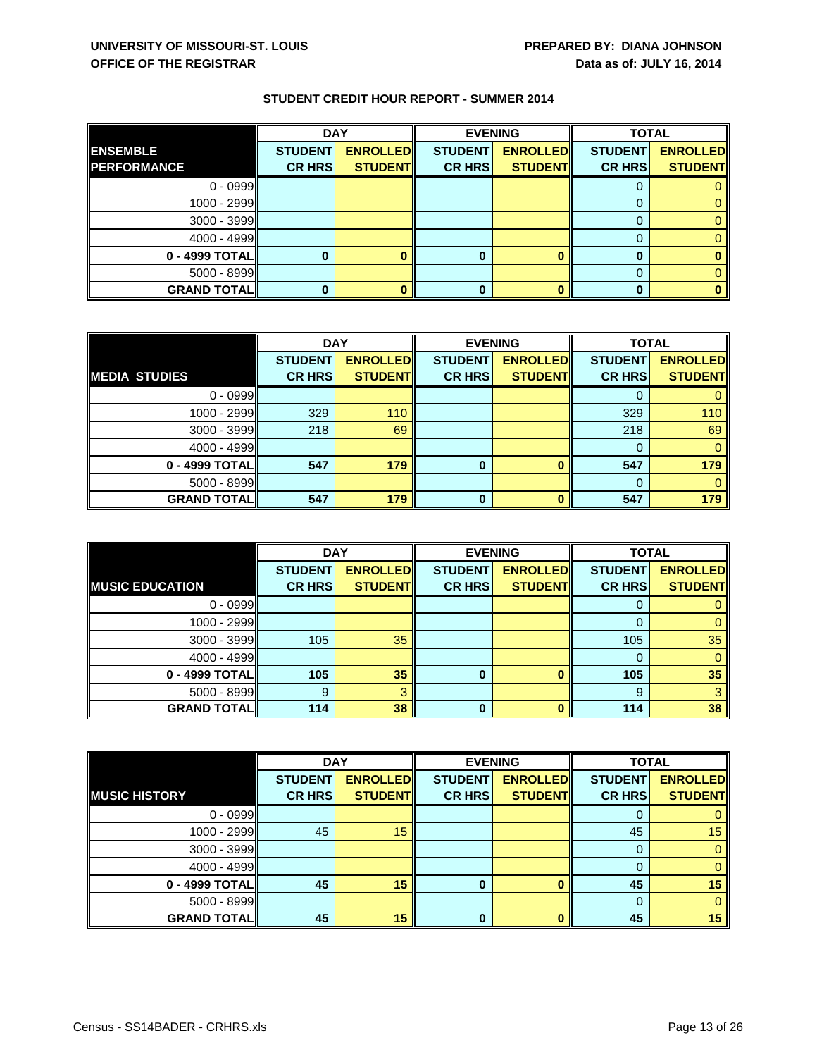|                    | <b>DAY</b>     |                 |                | <b>EVENING</b>  | <b>TOTAL</b>   |                 |
|--------------------|----------------|-----------------|----------------|-----------------|----------------|-----------------|
| <b>ENSEMBLE</b>    | <b>STUDENT</b> | <b>ENROLLED</b> | <b>STUDENT</b> | <b>ENROLLED</b> | <b>STUDENT</b> | <b>ENROLLED</b> |
| <b>PERFORMANCE</b> | <b>CR HRS</b>  | <b>STUDENT</b>  | <b>CR HRS</b>  | <b>STUDENT</b>  | <b>CR HRS</b>  | <b>STUDENT</b>  |
| $0 - 0999$         |                |                 |                |                 |                |                 |
| $1000 - 2999$      |                |                 |                |                 |                |                 |
| $3000 - 3999$      |                |                 |                |                 |                |                 |
| $4000 - 4999$      |                |                 |                |                 |                |                 |
| 0 - 4999 TOTAL     |                |                 |                |                 |                |                 |
| $5000 - 8999$      |                |                 |                |                 |                |                 |
| <b>GRAND TOTAL</b> |                |                 | 0              |                 |                |                 |

|                      | <b>DAY</b>     |                 | <b>EVENING</b> |                 | <b>TOTAL</b>   |                 |
|----------------------|----------------|-----------------|----------------|-----------------|----------------|-----------------|
|                      | <b>STUDENT</b> | <b>ENROLLED</b> | <b>STUDENT</b> | <b>ENROLLED</b> | <b>STUDENT</b> | <b>ENROLLED</b> |
| <b>MEDIA STUDIES</b> | <b>CR HRS</b>  | <b>STUDENT</b>  | <b>CR HRS</b>  | <b>STUDENT</b>  | <b>CR HRS</b>  | <b>STUDENT</b>  |
| $0 - 0999$           |                |                 |                |                 |                |                 |
| $1000 - 2999$        | 329            | 110             |                |                 | 329            | 110             |
| $3000 - 3999$        | 218            | 69              |                |                 | 218            | 69              |
| $4000 - 4999$        |                |                 |                |                 |                | $\Omega$        |
| 0 - 4999 TOTAL       | 547            | 179             | $\bf{0}$       |                 | 547            | 179             |
| $5000 - 8999$        |                |                 |                |                 | $\Omega$       | $\Omega$        |
| <b>GRAND TOTAL</b>   | 547            | 179             | $\bf{0}$       |                 | 547            | 179             |

|                        | <b>DAY</b>     |                 |                | <b>EVENING</b>  | <b>TOTAL</b>   |                 |
|------------------------|----------------|-----------------|----------------|-----------------|----------------|-----------------|
|                        | <b>STUDENT</b> | <b>ENROLLED</b> | <b>STUDENT</b> | <b>ENROLLED</b> | <b>STUDENT</b> | <b>ENROLLED</b> |
| <b>MUSIC EDUCATION</b> | <b>CR HRS</b>  | <b>STUDENT</b>  | <b>CR HRS</b>  | <b>STUDENT</b>  | <b>CR HRS</b>  | <b>STUDENT</b>  |
| $0 - 0999$             |                |                 |                |                 |                |                 |
| $1000 - 2999$          |                |                 |                |                 |                |                 |
| $3000 - 3999$          | 105            | 35              |                |                 | 105            | 35              |
| $4000 - 4999$          |                |                 |                |                 |                |                 |
| 0 - 4999 TOTAL         | 105            | 35              | 0              |                 | 105            | 35              |
| $5000 - 8999$          | 9              |                 |                |                 | -9             |                 |
| <b>GRAND TOTAL</b>     | 114            | 38              | 0              |                 | 114            | 38              |

|                      | <b>DAY</b>     |                 | <b>EVENING</b> |                 | <b>TOTAL</b>   |                 |
|----------------------|----------------|-----------------|----------------|-----------------|----------------|-----------------|
|                      | <b>STUDENT</b> | <b>ENROLLED</b> | <b>STUDENT</b> | <b>ENROLLED</b> | <b>STUDENT</b> | <b>ENROLLED</b> |
| <b>MUSIC HISTORY</b> | <b>CR HRS</b>  | <b>STUDENT</b>  | <b>CR HRS</b>  | <b>STUDENT</b>  | <b>CR HRS</b>  | <b>STUDENT</b>  |
| $0 - 0999$           |                |                 |                |                 |                |                 |
| $1000 - 2999$        | 45             | 15              |                |                 | 45             | 15              |
| $3000 - 3999$        |                |                 |                |                 | 0              |                 |
| $4000 - 4999$        |                |                 |                |                 | 0              | 0               |
| 0 - 4999 TOTAL       | 45             | 15              | 0              |                 | 45             | 15              |
| $5000 - 8999$        |                |                 |                |                 | 0              |                 |
| <b>GRAND TOTAL</b>   | 45             | 15              | 0              |                 | 45             | 15              |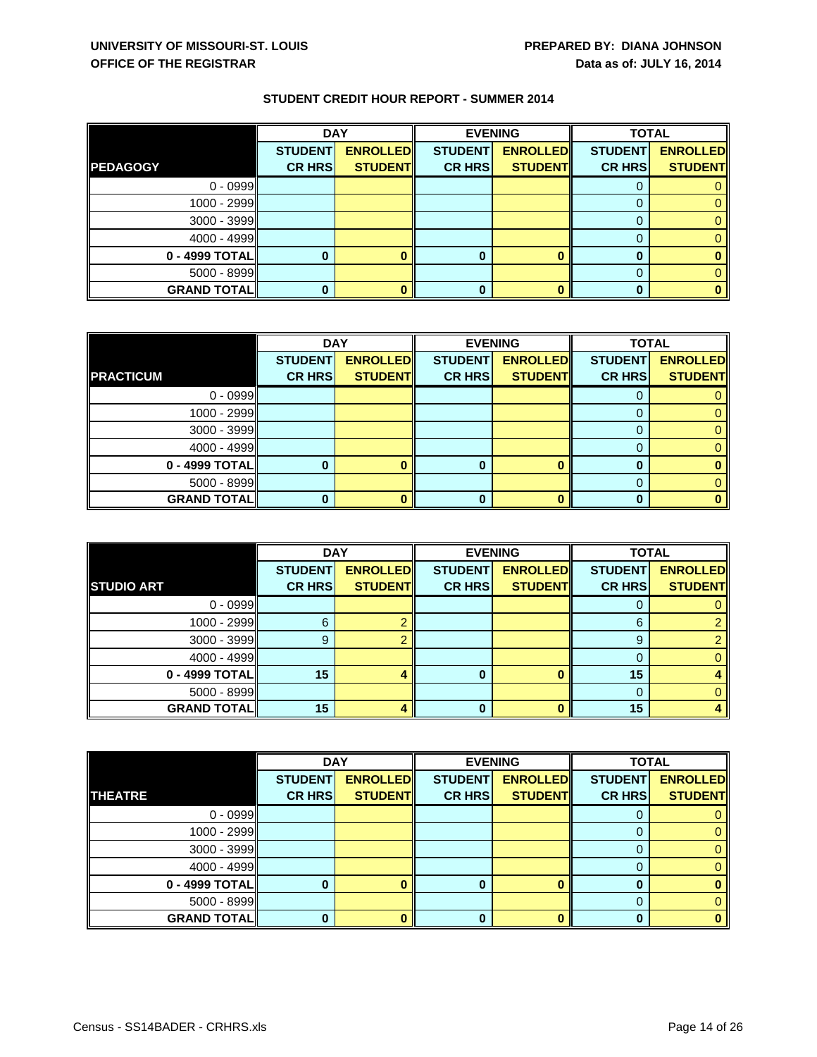|                    | <b>DAY</b>     |                 |                | <b>EVENING</b>  |                | <b>TOTAL</b>    |  |
|--------------------|----------------|-----------------|----------------|-----------------|----------------|-----------------|--|
|                    | <b>STUDENT</b> | <b>ENROLLED</b> | <b>STUDENT</b> | <b>ENROLLED</b> | <b>STUDENT</b> | <b>ENROLLED</b> |  |
| <b>PEDAGOGY</b>    | <b>CR HRS</b>  | <b>STUDENT</b>  | <b>CR HRS</b>  | <b>STUDENT</b>  | <b>CR HRS</b>  | <b>STUDENT</b>  |  |
| $0 - 0999$         |                |                 |                |                 |                |                 |  |
| $1000 - 2999$      |                |                 |                |                 |                |                 |  |
| $3000 - 3999$      |                |                 |                |                 |                |                 |  |
| $4000 - 4999$      |                |                 |                |                 |                |                 |  |
| 0 - 4999 TOTAL     |                |                 |                |                 |                |                 |  |
| $5000 - 8999$      |                |                 |                |                 |                |                 |  |
| <b>GRAND TOTAL</b> |                |                 | 0              |                 |                |                 |  |

|                    | <b>DAY</b>     |                 |                | <b>EVENING</b>  | <b>TOTAL</b>   |                 |
|--------------------|----------------|-----------------|----------------|-----------------|----------------|-----------------|
|                    | <b>STUDENT</b> | <b>ENROLLED</b> | <b>STUDENT</b> | <b>ENROLLED</b> | <b>STUDENT</b> | <b>ENROLLED</b> |
| <b>PRACTICUM</b>   | <b>CR HRS</b>  | <b>STUDENT</b>  | <b>CR HRS</b>  | <b>STUDENT</b>  | <b>CR HRS</b>  | <b>STUDENT</b>  |
| $0 - 0999$         |                |                 |                |                 |                | 0               |
| $1000 - 2999$      |                |                 |                |                 | $\Omega$       | 0               |
| $3000 - 3999$      |                |                 |                |                 | O              | 0               |
| $4000 - 4999$      |                |                 |                |                 |                | 0               |
| 0 - 4999 TOTAL     |                |                 | 0              |                 | O              | 0               |
| $5000 - 8999$      |                |                 |                |                 | 0              | 0               |
| <b>GRAND TOTAL</b> |                |                 | ŋ              |                 |                | o               |

|                    | <b>DAY</b>     |                 | <b>EVENING</b> |                 | <b>TOTAL</b>   |                 |
|--------------------|----------------|-----------------|----------------|-----------------|----------------|-----------------|
|                    | <b>STUDENT</b> | <b>ENROLLED</b> | <b>STUDENT</b> | <b>ENROLLED</b> | <b>STUDENT</b> | <b>ENROLLED</b> |
| <b>STUDIO ART</b>  | <b>CR HRS</b>  | <b>STUDENT</b>  | <b>CR HRS</b>  | <b>STUDENT</b>  | <b>CR HRS</b>  | <b>STUDENT</b>  |
| $0 - 0999$         |                |                 |                |                 |                |                 |
| 1000 - 2999        | 6              |                 |                |                 | 6              |                 |
| $3000 - 3999$      | 9              |                 |                |                 | 9              |                 |
| $4000 - 4999$      |                |                 |                |                 |                |                 |
| $0 - 4999$ TOTAL   | 15             |                 | Ω              |                 | 15             |                 |
| $5000 - 8999$      |                |                 |                |                 |                |                 |
| <b>GRAND TOTAL</b> | 15             |                 |                |                 | 15             |                 |

|                    | <b>DAY</b>     |                 | <b>EVENING</b> |                 | <b>TOTAL</b>   |                 |
|--------------------|----------------|-----------------|----------------|-----------------|----------------|-----------------|
|                    | <b>STUDENT</b> | <b>ENROLLED</b> | <b>STUDENT</b> | <b>ENROLLED</b> | <b>STUDENT</b> | <b>ENROLLED</b> |
| <b>THEATRE</b>     | <b>CR HRS</b>  | <b>STUDENT</b>  | <b>CR HRS</b>  | <b>STUDENT</b>  | <b>CR HRS</b>  | <b>STUDENT</b>  |
| $0 - 0999$         |                |                 |                |                 |                |                 |
| 1000 - 2999        |                |                 |                |                 |                |                 |
| 3000 - 3999        |                |                 |                |                 |                |                 |
| 4000 - 4999        |                |                 |                |                 |                |                 |
| 0 - 4999 TOTAL     |                |                 | 0              |                 | 0              |                 |
| $5000 - 8999$      |                |                 |                |                 |                |                 |
| <b>GRAND TOTAL</b> |                |                 | U              |                 |                |                 |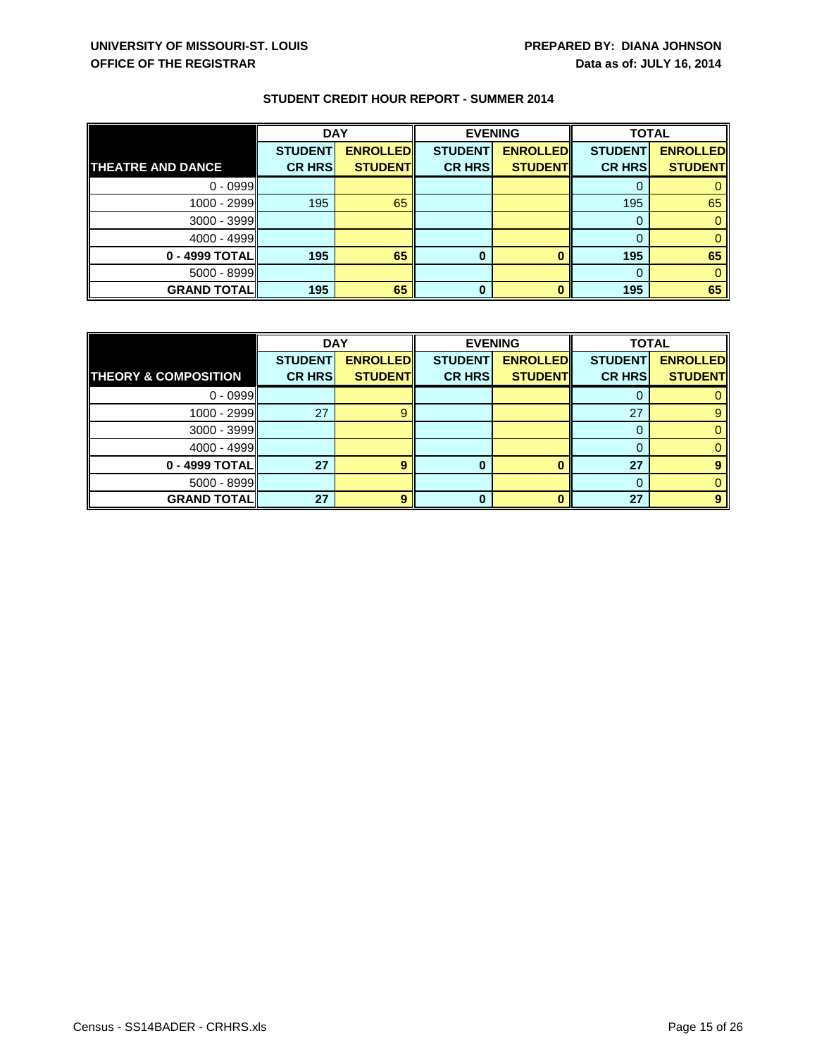|                          | <b>DAY</b>     |                 | <b>EVENING</b> |                 | <b>TOTAL</b>   |                 |
|--------------------------|----------------|-----------------|----------------|-----------------|----------------|-----------------|
|                          | <b>STUDENT</b> | <b>ENROLLED</b> | <b>STUDENT</b> | <b>ENROLLED</b> | <b>STUDENT</b> | <b>ENROLLED</b> |
| <b>THEATRE AND DANCE</b> | <b>CR HRS</b>  | <b>STUDENT</b>  | <b>CR HRS</b>  | <b>STUDENT</b>  | <b>CR HRS</b>  | <b>STUDENT</b>  |
| $0 - 0999$               |                |                 |                |                 |                |                 |
| 1000 - 2999              | 195            | 65              |                |                 | 195            | 65              |
| $3000 - 3999$            |                |                 |                |                 |                |                 |
| 4000 - 4999              |                |                 |                |                 |                |                 |
| 0 - 4999 TOTAL           | 195            | 65              | 0              |                 | 195            | 65              |
| $5000 - 8999$            |                |                 |                |                 |                |                 |
| <b>GRAND TOTAL</b>       | 195            | 65              | 0              |                 | 195            | 65              |

|                                 | <b>DAY</b>     |                 | <b>EVENING</b> |                 | <b>TOTAL</b>   |                 |
|---------------------------------|----------------|-----------------|----------------|-----------------|----------------|-----------------|
|                                 | <b>STUDENT</b> | <b>ENROLLED</b> | <b>STUDENT</b> | <b>ENROLLED</b> | <b>STUDENT</b> | <b>ENROLLED</b> |
| <b>THEORY &amp; COMPOSITION</b> | <b>CR HRS</b>  | <b>STUDENT</b>  | <b>CR HRS</b>  | <b>STUDENT</b>  | <b>CR HRS</b>  | <b>STUDENT</b>  |
| $0 - 0999$                      |                |                 |                |                 |                |                 |
| 1000 - 2999                     | 27             |                 |                |                 | 27             |                 |
| $3000 - 3999$                   |                |                 |                |                 | 0              |                 |
| $4000 - 4999$                   |                |                 |                |                 |                |                 |
| $0 - 4999$ TOTAL                | 27             | 9               | 0              |                 | 27             |                 |
| $5000 - 8999$                   |                |                 |                |                 | 0              |                 |
| <b>GRAND TOTAL</b>              | 27             |                 | ŋ              |                 | 27             |                 |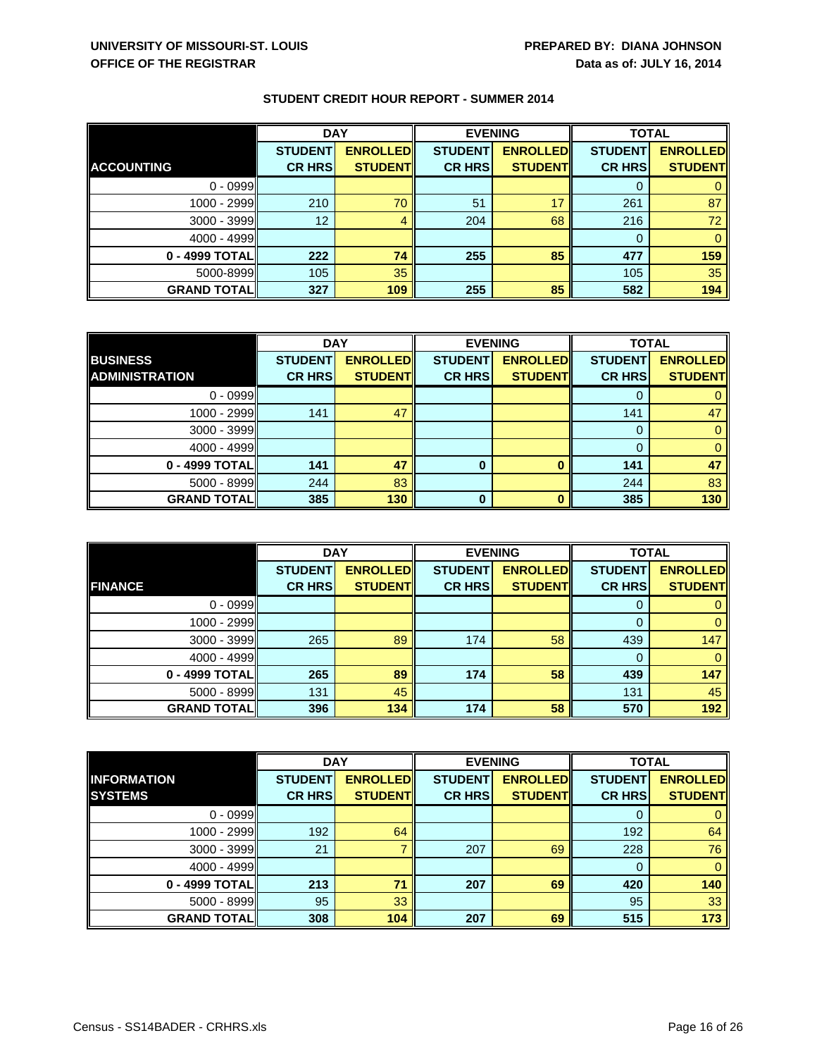|                    | <b>DAY</b>     |                 | <b>EVENING</b> |                 | <b>TOTAL</b>   |                 |
|--------------------|----------------|-----------------|----------------|-----------------|----------------|-----------------|
|                    | <b>STUDENT</b> | <b>ENROLLED</b> | <b>STUDENT</b> | <b>ENROLLED</b> | <b>STUDENT</b> | <b>ENROLLED</b> |
| <b>ACCOUNTING</b>  | <b>CR HRS</b>  | <b>STUDENT</b>  | <b>CR HRS</b>  | <b>STUDENT</b>  | <b>CR HRS</b>  | <b>STUDENT</b>  |
| $0 - 0999$         |                |                 |                |                 |                |                 |
| $1000 - 2999$      | 210            | 70              | 51             | 17              | 261            | 87              |
| $3000 - 3999$      | 12             | 4               | 204            | 68              | 216            | 72              |
| $4000 - 4999$      |                |                 |                |                 |                | $\Omega$        |
| 0 - 4999 TOTAL     | 222            | 74              | 255            | 85              | 477            | 159             |
| 5000-8999          | 105            | 35              |                |                 | 105            | 35              |
| <b>GRAND TOTAL</b> | 327            | 109             | 255            | 85              | 582            | 194             |

|                       | <b>DAY</b>     |                 | <b>EVENING</b> |                 | <b>TOTAL</b>   |                 |
|-----------------------|----------------|-----------------|----------------|-----------------|----------------|-----------------|
| <b>BUSINESS</b>       | <b>STUDENT</b> | <b>ENROLLED</b> | <b>STUDENT</b> | <b>ENROLLED</b> | <b>STUDENT</b> | <b>ENROLLED</b> |
| <b>ADMINISTRATION</b> | <b>CR HRS</b>  | <b>STUDENT</b>  | <b>CR HRS</b>  | <b>STUDENT</b>  | <b>CR HRS</b>  | <b>STUDENT</b>  |
| $0 - 0999$            |                |                 |                |                 |                |                 |
| 1000 - 2999           | 141            | 47              |                |                 | 141            | 47              |
| $3000 - 3999$         |                |                 |                |                 |                |                 |
| 4000 - 4999           |                |                 |                |                 | $\Omega$       |                 |
| 0 - 4999 TOTAL        | 141            | 47              | 0              |                 | 141            | 47              |
| $5000 - 8999$         | 244            | 83              |                |                 | 244            | 83              |
| <b>GRAND TOTAL</b>    | 385            | 130             | 0              |                 | 385            | 130             |

|                    | <b>DAY</b>     |                 | <b>EVENING</b> |                 | <b>TOTAL</b>   |                 |
|--------------------|----------------|-----------------|----------------|-----------------|----------------|-----------------|
|                    | <b>STUDENT</b> | <b>ENROLLED</b> | <b>STUDENT</b> | <b>ENROLLED</b> | <b>STUDENT</b> | <b>ENROLLED</b> |
| <b>FINANCE</b>     | <b>CR HRS</b>  | <b>STUDENT</b>  | <b>CR HRS</b>  | <b>STUDENT</b>  | <b>CR HRS</b>  | <b>STUDENT</b>  |
| $0 - 0999$         |                |                 |                |                 | υ              |                 |
| $1000 - 2999$      |                |                 |                |                 |                | 0               |
| $3000 - 3999$      | 265            | 89              | 174            | 58              | 439            | 147             |
| $4000 - 4999$      |                |                 |                |                 |                |                 |
| 0 - 4999 TOTAL     | 265            | 89              | 174            | 58              | 439            | 147             |
| $5000 - 8999$      | 131            | 45              |                |                 | 131            | 45              |
| <b>GRAND TOTAL</b> | 396            | 134             | 174            | 58              | 570            | 192             |

|                    | <b>DAY</b>     |                 |                | <b>EVENING</b>  | <b>TOTAL</b>   |                 |
|--------------------|----------------|-----------------|----------------|-----------------|----------------|-----------------|
| <b>INFORMATION</b> | <b>STUDENT</b> | <b>ENROLLED</b> | <b>STUDENT</b> | <b>ENROLLED</b> | <b>STUDENT</b> | <b>ENROLLED</b> |
| <b>SYSTEMS</b>     | <b>CR HRS</b>  | <b>STUDENT</b>  | <b>CR HRS</b>  | <b>STUDENT</b>  | <b>CR HRS</b>  | <b>STUDENT</b>  |
| $0 - 0999$         |                |                 |                |                 |                |                 |
| 1000 - 2999        | 192            | 64              |                |                 | 192            | 64              |
| $3000 - 3999$      | 21             |                 | 207            | 69              | 228            | 76              |
| $4000 - 4999$      |                |                 |                |                 | 0              | $\mathbf{0}$    |
| 0 - 4999 TOTAL     | 213            | 71              | 207            | 69              | 420            | 140             |
| $5000 - 8999$      | 95             | 33              |                |                 | 95             | 33              |
| <b>GRAND TOTAL</b> | 308            | 104             | 207            | 69              | 515            | 173             |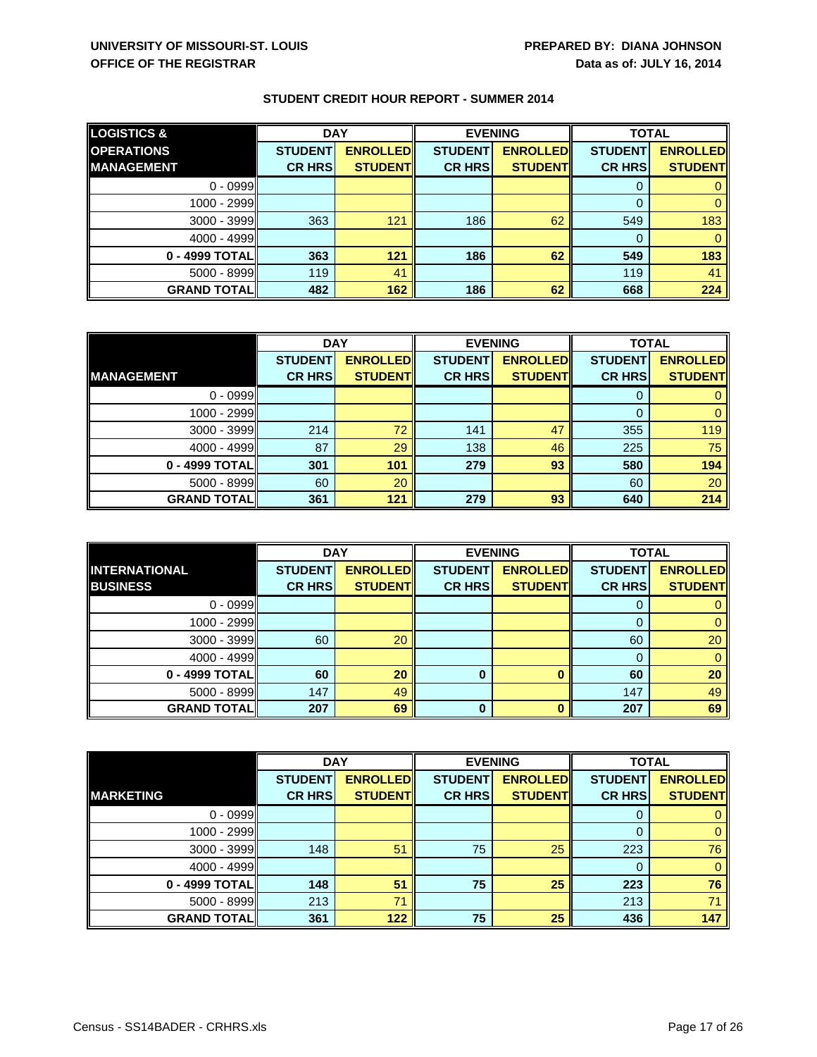| <b>LOGISTICS &amp;</b> | <b>DAY</b>     |                 | <b>EVENING</b> |                 | <b>TOTAL</b>   |                 |
|------------------------|----------------|-----------------|----------------|-----------------|----------------|-----------------|
| <b>OPERATIONS</b>      | <b>STUDENT</b> | <b>ENROLLED</b> | <b>STUDENT</b> | <b>ENROLLED</b> | <b>STUDENT</b> | <b>ENROLLED</b> |
| <b>MANAGEMENT</b>      | <b>CR HRS</b>  | <b>STUDENT</b>  | <b>CR HRS</b>  | <b>STUDENT</b>  | <b>CR HRS</b>  | <b>STUDENT</b>  |
| $0 - 0999$             |                |                 |                |                 | 0              |                 |
| 1000 - 2999            |                |                 |                |                 | 0              |                 |
| $3000 - 3999$          | 363            | 121             | 186            | 62              | 549            | 183             |
| $4000 - 4999$          |                |                 |                |                 | 0              |                 |
| 0 - 4999 TOTAL         | 363            | 121             | 186            | 62              | 549            | 183             |
| $5000 - 8999$          | 119            | 41              |                |                 | 119            | 41              |
| <b>GRAND TOTAL</b>     | 482            | 162             | 186            | 62              | 668            | 224             |

|                    | <b>DAY</b>     |                 | <b>EVENING</b> |                 | <b>TOTAL</b>   |                 |
|--------------------|----------------|-----------------|----------------|-----------------|----------------|-----------------|
|                    | <b>STUDENT</b> | <b>ENROLLED</b> | <b>STUDENT</b> | <b>ENROLLED</b> | <b>STUDENT</b> | <b>ENROLLED</b> |
| <b>MANAGEMENT</b>  | <b>CR HRS</b>  | <b>STUDENT</b>  | <b>CR HRS</b>  | <b>STUDENT</b>  | <b>CR HRS</b>  | <b>STUDENT</b>  |
| $0 - 0999$         |                |                 |                |                 |                |                 |
| 1000 - 2999        |                |                 |                |                 |                |                 |
| $3000 - 3999$      | 214            | 72              | 141            | 47              | 355            | 119             |
| 4000 - 4999        | 87             | 29              | 138            | 46              | 225            | 75              |
| 0 - 4999 TOTAL     | 301            | 101             | 279            | 93              | 580            | 194             |
| $5000 - 8999$      | 60             | 20              |                |                 | 60             | 20              |
| <b>GRAND TOTAL</b> | 361            | 121             | 279            | 93              | 640            | 214             |

|                    | <b>DAY</b>     |                 | <b>EVENING</b> |                 | <b>TOTAL</b>   |                 |
|--------------------|----------------|-----------------|----------------|-----------------|----------------|-----------------|
| INTERNATIONAL      | <b>STUDENT</b> | <b>ENROLLED</b> | <b>STUDENT</b> | <b>ENROLLED</b> | <b>STUDENT</b> | <b>ENROLLED</b> |
| <b>BUSINESS</b>    | <b>CR HRS</b>  | <b>STUDENT</b>  | <b>CR HRS</b>  | <b>STUDENT</b>  | <b>CR HRS</b>  | <b>STUDENT</b>  |
| $0 - 0999$         |                |                 |                |                 |                |                 |
| $1000 - 2999$      |                |                 |                |                 |                |                 |
| $3000 - 3999$      | 60             | 20              |                |                 | 60             | 20              |
| $4000 - 4999$      |                |                 |                |                 |                | 0               |
| 0 - 4999 TOTAL     | 60             | 20              | 0              |                 | 60             | 20              |
| $5000 - 8999$      | 147            | 49              |                |                 | 147            | 49              |
| <b>GRAND TOTAL</b> | 207            | 69              | 0              |                 | 207            | 69              |

|                    | <b>DAY</b>     |                 | <b>EVENING</b> |                 | <b>TOTAL</b>   |                 |
|--------------------|----------------|-----------------|----------------|-----------------|----------------|-----------------|
|                    | <b>STUDENT</b> | <b>ENROLLED</b> | <b>STUDENT</b> | <b>ENROLLED</b> | <b>STUDENT</b> | <b>ENROLLED</b> |
| <b>MARKETING</b>   | <b>CR HRS</b>  | <b>STUDENT</b>  | <b>CR HRS</b>  | <b>STUDENT</b>  | <b>CR HRS</b>  | <b>STUDENT</b>  |
| $0 - 0999$         |                |                 |                |                 |                |                 |
| 1000 - 2999        |                |                 |                |                 | $\Omega$       |                 |
| 3000 - 3999        | 148            | 51              | 75             | 25              | 223            | 76              |
| 4000 - 4999        |                |                 |                |                 | $\Omega$       | 0               |
| 0 - 4999 TOTAL     | 148            | 51              | 75             | 25              | 223            | 76              |
| 5000 - 8999        | 213            | 71              |                |                 | 213            | 71              |
| <b>GRAND TOTAL</b> | 361            | 122             | 75             | 25              | 436            | 147             |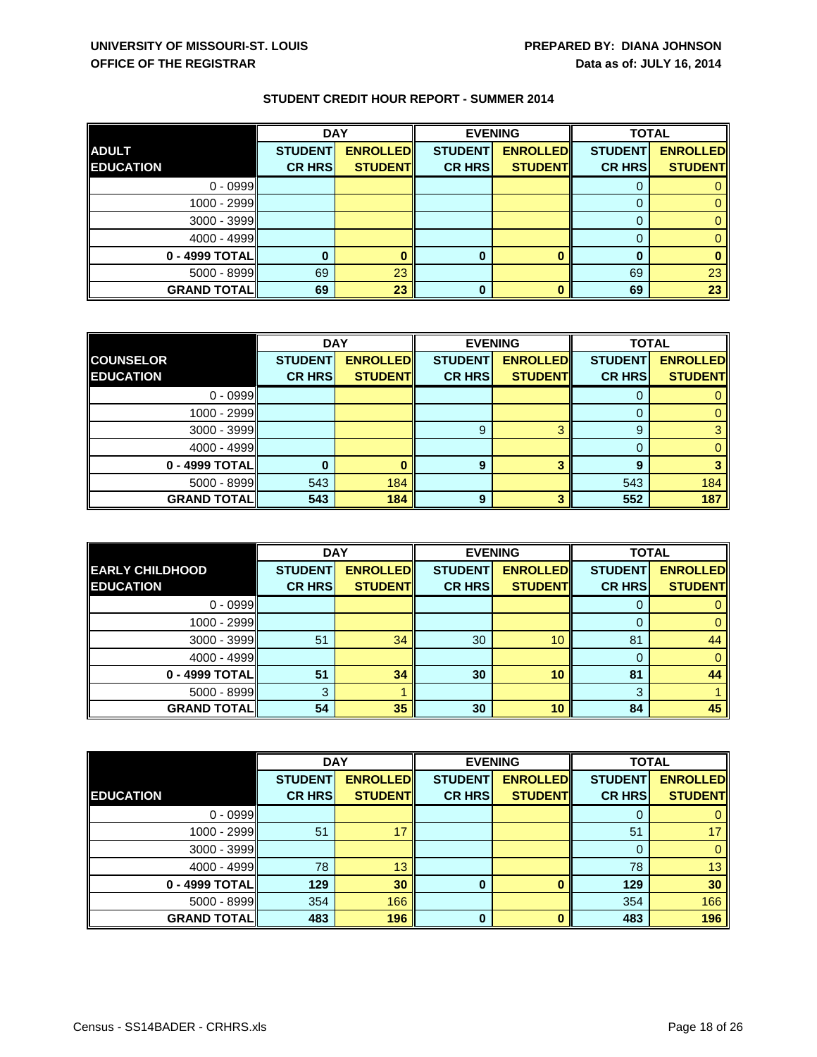|                    | <b>DAY</b>     |                 | <b>EVENING</b> |                 | <b>TOTAL</b>   |                 |
|--------------------|----------------|-----------------|----------------|-----------------|----------------|-----------------|
| <b>ADULT</b>       | <b>STUDENT</b> | <b>ENROLLED</b> | <b>STUDENT</b> | <b>ENROLLED</b> | <b>STUDENT</b> | <b>ENROLLED</b> |
| <b>EDUCATION</b>   | <b>CR HRS</b>  | <b>STUDENT</b>  | <b>CR HRS</b>  | <b>STUDENT</b>  | <b>CR HRS</b>  | <b>STUDENT</b>  |
| $0 - 0999$         |                |                 |                |                 |                |                 |
| 1000 - 2999        |                |                 |                |                 |                |                 |
| $3000 - 3999$      |                |                 |                |                 |                |                 |
| $4000 - 4999$      |                |                 |                |                 |                |                 |
| 0 - 4999 TOTAL     |                |                 |                |                 |                |                 |
| $5000 - 8999$      | 69             | 23              |                |                 | 69             | 23              |
| <b>GRAND TOTAL</b> | 69             | 23              | 0              |                 | 69             | 23              |

|                    | <b>DAY</b>     |                 | <b>EVENING</b> |                 | <b>TOTAL</b>   |                 |
|--------------------|----------------|-----------------|----------------|-----------------|----------------|-----------------|
| <b>COUNSELOR</b>   | <b>STUDENT</b> | <b>ENROLLED</b> | <b>STUDENT</b> | <b>ENROLLED</b> | <b>STUDENT</b> | <b>ENROLLED</b> |
| <b>EDUCATION</b>   | <b>CR HRS</b>  | <b>STUDENT</b>  | <b>CR HRS</b>  | <b>STUDENT</b>  | <b>CR HRS</b>  | <b>STUDENT</b>  |
| $0 - 0999$         |                |                 |                |                 |                |                 |
| $1000 - 2999$      |                |                 |                |                 |                |                 |
| $3000 - 3999$      |                |                 | 9              |                 | 9              |                 |
| $4000 - 4999$      |                |                 |                |                 |                |                 |
| 0 - 4999 TOTAL     |                |                 | 9              |                 | 9              |                 |
| $5000 - 8999$      | 543            | 184             |                |                 | 543            | 184             |
| <b>GRAND TOTAL</b> | 543            | 184             | 9              | ≏               | 552            | 187             |

|                        | <b>DAY</b>     |                 | <b>EVENING</b> |                 | <b>TOTAL</b>   |                 |
|------------------------|----------------|-----------------|----------------|-----------------|----------------|-----------------|
| <b>EARLY CHILDHOOD</b> | <b>STUDENT</b> | <b>ENROLLED</b> | <b>STUDENT</b> | <b>ENROLLED</b> | <b>STUDENT</b> | <b>ENROLLED</b> |
| <b>EDUCATION</b>       | <b>CR HRS</b>  | <b>STUDENT</b>  | <b>CR HRS</b>  | <b>STUDENT</b>  | <b>CR HRS</b>  | <b>STUDENT</b>  |
| $0 - 0999$             |                |                 |                |                 |                |                 |
| $1000 - 2999$          |                |                 |                |                 |                |                 |
| $3000 - 3999$          | 51             | 34              | 30             | 10              | 81             | 44              |
| $4000 - 4999$          |                |                 |                |                 |                |                 |
| 0 - 4999 TOTAL         | 51             | 34              | 30             | 10              | 81             | 44              |
| $5000 - 8999$          | 3              |                 |                |                 | 3              |                 |
| <b>GRAND TOTAL</b>     | 54             | 35              | 30             | 10              | 84             | 45              |

|                    | <b>DAY</b>     |                 | <b>EVENING</b> |                 | <b>TOTAL</b>   |                 |
|--------------------|----------------|-----------------|----------------|-----------------|----------------|-----------------|
|                    | <b>STUDENT</b> | <b>ENROLLED</b> | <b>STUDENT</b> | <b>ENROLLED</b> | <b>STUDENT</b> | <b>ENROLLED</b> |
| <b>EDUCATION</b>   | <b>CR HRS</b>  | <b>STUDENT</b>  | <b>CR HRS</b>  | <b>STUDENT</b>  | <b>CR HRS</b>  | <b>STUDENT</b>  |
| $0 - 0999$         |                |                 |                |                 |                | 0               |
| 1000 - 2999        | 51             | 17              |                |                 | 51             | 17 <sup>°</sup> |
| 3000 - 3999        |                |                 |                |                 | 0              | $\mathbf{0}$    |
| 4000 - 4999        | 78             | 13              |                |                 | 78             | 13              |
| 0 - 4999 TOTAL     | 129            | 30              | 0              |                 | 129            | 30              |
| $5000 - 8999$      | 354            | 166             |                |                 | 354            | 166             |
| <b>GRAND TOTAL</b> | 483            | 196             | $\Omega$       |                 | 483            | 196             |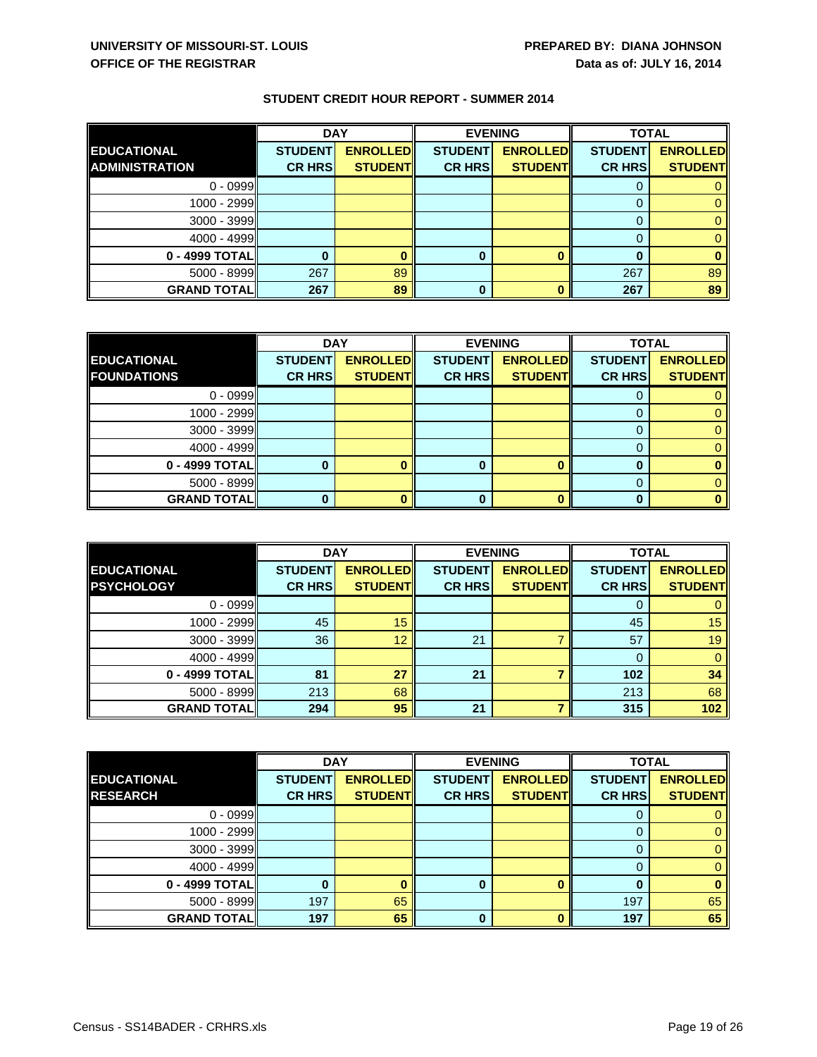|                       | <b>DAY</b>     |                 | <b>EVENING</b> |                 | <b>TOTAL</b>   |                 |
|-----------------------|----------------|-----------------|----------------|-----------------|----------------|-----------------|
| <b>EDUCATIONAL</b>    | <b>STUDENT</b> | <b>ENROLLED</b> | <b>STUDENT</b> | <b>ENROLLED</b> | <b>STUDENT</b> | <b>ENROLLED</b> |
| <b>ADMINISTRATION</b> | <b>CR HRS</b>  | <b>STUDENT</b>  | <b>CR HRS</b>  | <b>STUDENT</b>  | <b>CR HRS</b>  | <b>STUDENT</b>  |
| $0 - 0999$            |                |                 |                |                 |                |                 |
| 1000 - 2999           |                |                 |                |                 |                |                 |
| $3000 - 3999$         |                |                 |                |                 |                |                 |
| $4000 - 4999$         |                |                 |                |                 |                |                 |
| 0 - 4999 TOTAL        |                |                 |                |                 |                |                 |
| $5000 - 8999$         | 267            | 89              |                |                 | 267            | 89              |
| <b>GRAND TOTAL</b>    | 267            | 89              |                |                 | 267            | 89              |

|                    | <b>DAY</b>     |                 | <b>EVENING</b> |                 | <b>TOTAL</b>   |                 |
|--------------------|----------------|-----------------|----------------|-----------------|----------------|-----------------|
| <b>EDUCATIONAL</b> | <b>STUDENT</b> | <b>ENROLLED</b> | <b>STUDENT</b> | <b>ENROLLED</b> | <b>STUDENT</b> | <b>ENROLLED</b> |
| <b>FOUNDATIONS</b> | <b>CR HRS</b>  | <b>STUDENT</b>  | <b>CR HRS</b>  | <b>STUDENT</b>  | <b>CR HRS</b>  | <b>STUDENT</b>  |
| $0 - 0999$         |                |                 |                |                 |                |                 |
| 1000 - 2999        |                |                 |                |                 |                |                 |
| $3000 - 3999$      |                |                 |                |                 | $\mathbf{0}$   |                 |
| $4000 - 4999$      |                |                 |                |                 |                |                 |
| 0 - 4999 TOTAL     |                |                 | 0              |                 |                |                 |
| $5000 - 8999$      |                |                 |                |                 | $\Omega$       |                 |
| <b>GRAND TOTAL</b> |                |                 | 0              |                 | ŋ              |                 |

|                    | <b>DAY</b>     |                 |                | <b>EVENING</b>  |                | <b>TOTAL</b>    |  |
|--------------------|----------------|-----------------|----------------|-----------------|----------------|-----------------|--|
| <b>EDUCATIONAL</b> | <b>STUDENT</b> | <b>ENROLLED</b> | <b>STUDENT</b> | <b>ENROLLED</b> | <b>STUDENT</b> | <b>ENROLLED</b> |  |
| <b>PSYCHOLOGY</b>  | <b>CR HRS</b>  | <b>STUDENT</b>  | <b>CR HRS</b>  | <b>STUDENT</b>  | <b>CR HRS</b>  | <b>STUDENT</b>  |  |
| $0 - 0999$         |                |                 |                |                 |                |                 |  |
| $1000 - 2999$      | 45             | 15              |                |                 | 45             | 15              |  |
| $3000 - 3999$      | 36             | 12              | 21             |                 | 57             | 19              |  |
| $4000 - 4999$      |                |                 |                |                 |                | 0               |  |
| $0 - 4999$ TOTAL   | 81             | 27              | 21             |                 | 102            | 34              |  |
| $5000 - 8999$      | 213            | 68              |                |                 | 213            | 68              |  |
| <b>GRAND TOTAL</b> | 294            | 95              | 21             |                 | 315            | 102             |  |

|                    | <b>DAY</b>     |                 | <b>EVENING</b> |                 | <b>TOTAL</b>   |                 |
|--------------------|----------------|-----------------|----------------|-----------------|----------------|-----------------|
| <b>EDUCATIONAL</b> | <b>STUDENT</b> | <b>ENROLLED</b> | <b>STUDENT</b> | <b>ENROLLED</b> | <b>STUDENT</b> | <b>ENROLLED</b> |
| <b>RESEARCH</b>    | <b>CR HRS</b>  | <b>STUDENT</b>  | <b>CR HRS</b>  | <b>STUDENT</b>  | <b>CR HRS</b>  | <b>STUDENT</b>  |
| $0 - 0999$         |                |                 |                |                 |                |                 |
| $1000 - 2999$      |                |                 |                |                 | $\mathbf{0}$   |                 |
| $3000 - 3999$      |                |                 |                |                 |                |                 |
| $4000 - 4999$      |                |                 |                |                 | $\Omega$       |                 |
| 0 - 4999 TOTAL     | 0              |                 | 0              |                 | 0              |                 |
| $5000 - 8999$      | 197            | 65              |                |                 | 197            | 65              |
| <b>GRAND TOTAL</b> | 197            | 65              | $\bf{0}$       |                 | 197            | 65              |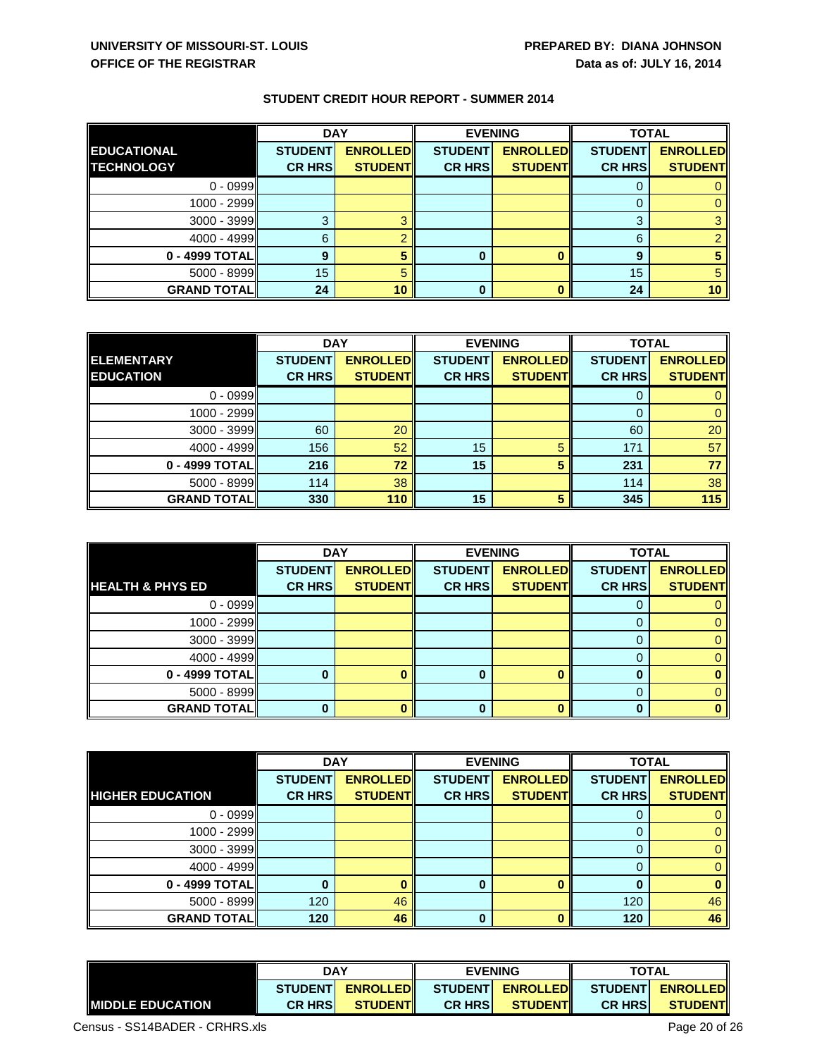|                                         | <b>DAY</b>                      |                                   | <b>EVENING</b>                  |                                   | <b>TOTAL</b>                    |                                   |
|-----------------------------------------|---------------------------------|-----------------------------------|---------------------------------|-----------------------------------|---------------------------------|-----------------------------------|
| <b>EDUCATIONAL</b><br><b>TECHNOLOGY</b> | <b>STUDENT</b><br><b>CR HRS</b> | <b>ENROLLED</b><br><b>STUDENT</b> | <b>STUDENT</b><br><b>CR HRS</b> | <b>ENROLLED</b><br><b>STUDENT</b> | <b>STUDENT</b><br><b>CR HRS</b> | <b>ENROLLED</b><br><b>STUDENT</b> |
| $0 - 0999$                              |                                 |                                   |                                 |                                   |                                 |                                   |
| $1000 - 2999$                           |                                 |                                   |                                 |                                   |                                 |                                   |
| 3000 - 3999                             | ≏                               |                                   |                                 |                                   | 3                               |                                   |
| 4000 - 4999                             | 6                               |                                   |                                 |                                   | 6                               |                                   |
| 0 - 4999 TOTAL                          | 9                               |                                   |                                 |                                   | 9                               |                                   |
| 5000 - 8999                             | 15                              |                                   |                                 |                                   | 15                              |                                   |
| <b>GRAND TOTAL</b>                      | 24                              | 10                                |                                 |                                   | 24                              | 10 <sup>1</sup>                   |

|                    | <b>DAY</b>     |                 |                | <b>EVENING</b>  | <b>TOTAL</b>   |                 |
|--------------------|----------------|-----------------|----------------|-----------------|----------------|-----------------|
| ELEMENTARY         | <b>STUDENT</b> | <b>ENROLLED</b> | <b>STUDENT</b> | <b>ENROLLED</b> | <b>STUDENT</b> | <b>ENROLLED</b> |
| <b>EDUCATION</b>   | <b>CR HRS</b>  | <b>STUDENT</b>  | <b>CR HRS</b>  | <b>STUDENT</b>  | <b>CR HRS</b>  | <b>STUDENT</b>  |
| $0 - 0999$         |                |                 |                |                 |                |                 |
| $1000 - 2999$      |                |                 |                |                 |                |                 |
| $3000 - 3999$      | 60             | 20              |                |                 | 60             | 20              |
| 4000 - 4999        | 156            | 52              | 15             |                 | 171            | 57              |
| 0 - 4999 TOTAL     | 216            | 72              | 15             |                 | 231            | 77              |
| $5000 - 8999$      | 114            | 38              |                |                 | 114            | 38              |
| <b>GRAND TOTAL</b> | 330            | 110             | 15             |                 | 345            | 115             |

|                             | <b>DAY</b>     |                 |                | <b>EVENING</b>  | <b>TOTAL</b>   |                 |
|-----------------------------|----------------|-----------------|----------------|-----------------|----------------|-----------------|
|                             | <b>STUDENT</b> | <b>ENROLLED</b> | <b>STUDENT</b> | <b>ENROLLED</b> | <b>STUDENT</b> | <b>ENROLLED</b> |
| <b>HEALTH &amp; PHYS ED</b> | <b>CR HRS</b>  | <b>STUDENT</b>  | <b>CR HRS</b>  | <b>STUDENT</b>  | <b>CR HRS</b>  | <b>STUDENT</b>  |
| $0 - 0999$                  |                |                 |                |                 | O              |                 |
| 1000 - 2999                 |                |                 |                |                 |                |                 |
| $3000 - 3999$               |                |                 |                |                 |                |                 |
| $4000 - 4999$               |                |                 |                |                 |                |                 |
| $0 - 4999$ TOTAL            |                |                 | 0              |                 | n              |                 |
| $5000 - 8999$               |                |                 |                |                 |                |                 |
| <b>GRAND TOTAL</b>          |                |                 | 0              |                 |                |                 |

|                         | <b>DAY</b>     |                 | <b>EVENING</b> |                 | <b>TOTAL</b>   |                 |
|-------------------------|----------------|-----------------|----------------|-----------------|----------------|-----------------|
|                         | <b>STUDENT</b> | <b>ENROLLED</b> | <b>STUDENT</b> | <b>ENROLLED</b> | <b>STUDENT</b> | <b>ENROLLED</b> |
| <b>HIGHER EDUCATION</b> | <b>CR HRS</b>  | <b>STUDENT</b>  | <b>CR HRS</b>  | <b>STUDENT</b>  | <b>CR HRS</b>  | <b>STUDENT</b>  |
| $0 - 0999$              |                |                 |                |                 |                | 0               |
| $1000 - 2999$           |                |                 |                |                 | 0              | 0               |
| $3000 - 3999$           |                |                 |                |                 | O              | 0               |
| $4000 - 4999$           |                |                 |                |                 |                | $\overline{0}$  |
| $0 - 4999$ TOTAL        |                |                 | 0              |                 | 0              | $\bf{0}$        |
| $5000 - 8999$           | 120            | 46              |                |                 | 120            | 46              |
| <b>GRAND TOTAL</b>      | 120            | 46              | ŋ              |                 | 120            | 46              |

|                          | <b>DAY</b><br><b>STUDENT</b><br><b>ENROLLEDI</b> |                 | <b>EVENING</b> |                  | <b>TOTAL</b>   |                  |
|--------------------------|--------------------------------------------------|-----------------|----------------|------------------|----------------|------------------|
|                          |                                                  |                 |                | STUDENT ENROLLED |                | STUDENT ENROLLED |
| <b>IMIDDLE EDUCATION</b> | <b>CR HRSI</b>                                   | <b>STUDENTI</b> | <b>CR HRSI</b> | <b>STUDENT</b>   | <b>CR HRSI</b> | <b>STUDENT</b>   |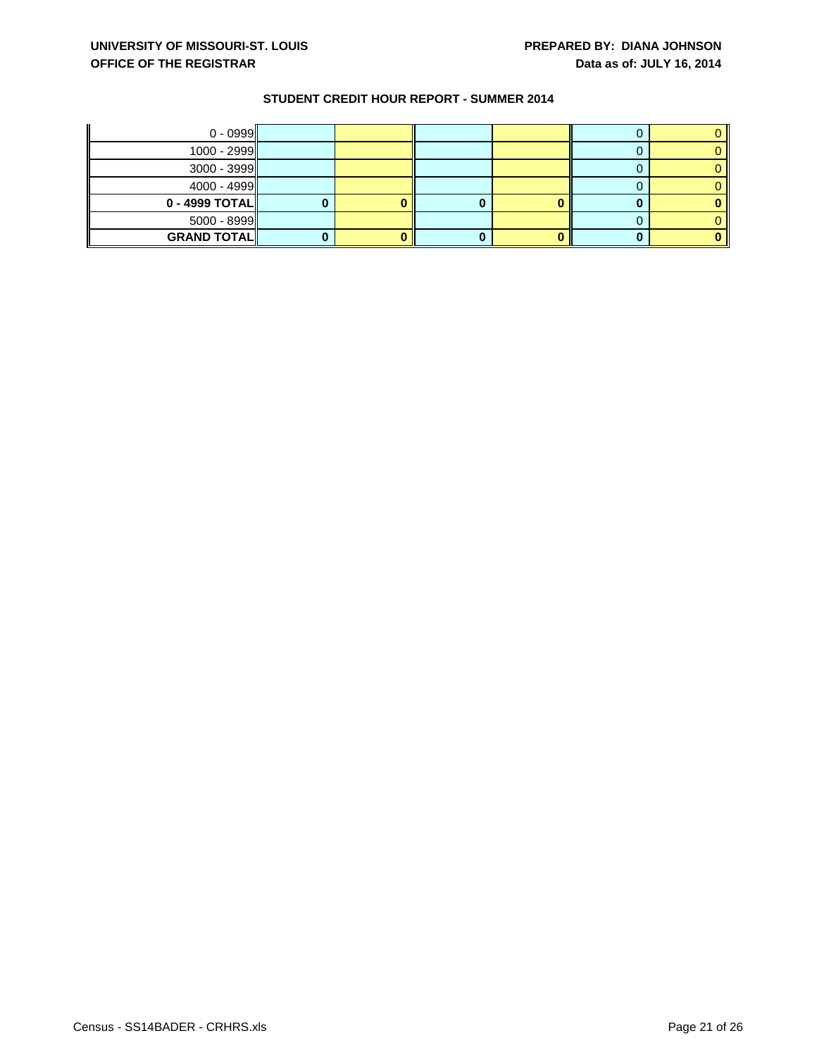| $0 - 0999$         |  |  |  |
|--------------------|--|--|--|
| $1000 - 2999$      |  |  |  |
| $3000 - 3999$      |  |  |  |
| $4000 - 4999$      |  |  |  |
| $0 - 4999$ TOTAL   |  |  |  |
| $5000 - 8999$      |  |  |  |
| <b>GRAND TOTAL</b> |  |  |  |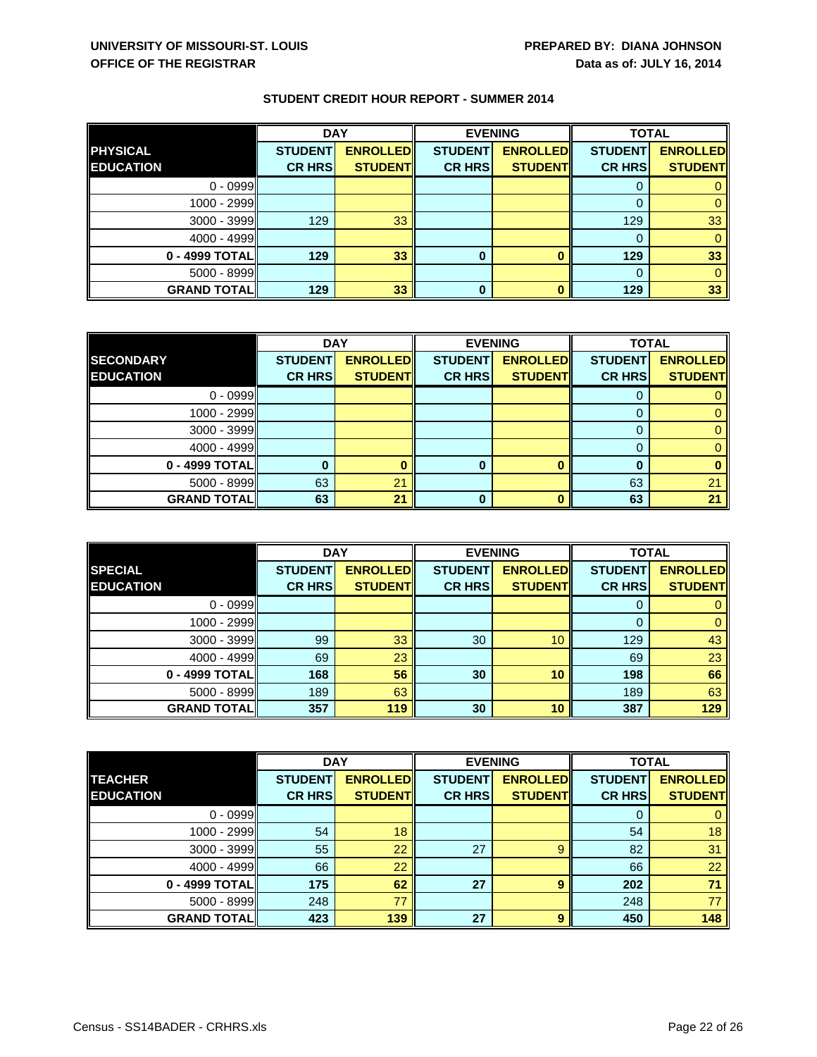|                    | <b>DAY</b>     |                 | <b>EVENING</b> |                 | <b>TOTAL</b>   |                 |
|--------------------|----------------|-----------------|----------------|-----------------|----------------|-----------------|
| <b>PHYSICAL</b>    | <b>STUDENT</b> | <b>ENROLLED</b> | <b>STUDENT</b> | <b>ENROLLED</b> | <b>STUDENT</b> | <b>ENROLLED</b> |
| <b>EDUCATION</b>   | <b>CR HRS</b>  | <b>STUDENT</b>  | <b>CR HRS</b>  | <b>STUDENT</b>  | <b>CR HRS</b>  | <b>STUDENT</b>  |
| $0 - 0999$         |                |                 |                |                 |                |                 |
| 1000 - 2999        |                |                 |                |                 |                |                 |
| $3000 - 3999$      | 129            | 33              |                |                 | 129            | 33              |
| $4000 - 4999$      |                |                 |                |                 |                |                 |
| 0 - 4999 TOTAL     | 129            | 33              |                |                 | 129            | 33              |
| $5000 - 8999$      |                |                 |                |                 |                |                 |
| <b>GRAND TOTAL</b> | 129            | 33              | 0              |                 | 129            | 33              |

|                    | <b>DAY</b>     |                 |                | <b>TOTAL</b><br><b>EVENING</b> |                |                 |
|--------------------|----------------|-----------------|----------------|--------------------------------|----------------|-----------------|
| <b>SECONDARY</b>   | <b>STUDENT</b> | <b>ENROLLED</b> | <b>STUDENT</b> | <b>ENROLLED</b>                | <b>STUDENT</b> | <b>ENROLLED</b> |
| <b>EDUCATION</b>   | <b>CR HRS</b>  | <b>STUDENT</b>  | <b>CR HRS</b>  | <b>STUDENT</b>                 | <b>CR HRS</b>  | <b>STUDENT</b>  |
| $0 - 0999$         |                |                 |                |                                |                |                 |
| 1000 - 2999        |                |                 |                |                                |                |                 |
| $3000 - 3999$      |                |                 |                |                                | O              |                 |
| $4000 - 4999$      |                |                 |                |                                |                |                 |
| $0 - 4999$ TOTAL   |                |                 | 0              |                                |                |                 |
| $5000 - 8999$      | 63             | 21              |                |                                | 63             | 21              |
| <b>GRAND TOTAL</b> | 63             | 21              | 0              |                                | 63             | 21              |

|                    | <b>DAY</b><br><b>EVENING</b> |                 | <b>TOTAL</b>   |                 |                |                 |
|--------------------|------------------------------|-----------------|----------------|-----------------|----------------|-----------------|
| <b>SPECIAL</b>     | <b>STUDENT</b>               | <b>ENROLLED</b> | <b>STUDENT</b> | <b>ENROLLED</b> | <b>STUDENT</b> | <b>ENROLLED</b> |
| <b>EDUCATION</b>   | <b>CR HRS</b>                | <b>STUDENT</b>  | <b>CR HRS</b>  | <b>STUDENT</b>  | <b>CR HRS</b>  | <b>STUDENT</b>  |
| $0 - 0999$         |                              |                 |                |                 |                |                 |
| 1000 - 2999        |                              |                 |                |                 |                |                 |
| $3000 - 3999$      | 99                           | 33              | 30             | 10              | 129            | 43              |
| 4000 - 4999        | 69                           | 23              |                |                 | 69             | 23              |
| 0 - 4999 TOTAL     | 168                          | 56              | 30             | 10              | 198            | 66              |
| $5000 - 8999$      | 189                          | 63              |                |                 | 189            | 63              |
| <b>GRAND TOTAL</b> | 357                          | 119             | 30             | 10              | 387            | 129             |

|                    | <b>DAY</b><br><b>EVENING</b> |                 | <b>TOTAL</b>   |                 |                |                 |
|--------------------|------------------------------|-----------------|----------------|-----------------|----------------|-----------------|
| <b>TEACHER</b>     | <b>STUDENT</b>               | <b>ENROLLED</b> | <b>STUDENT</b> | <b>ENROLLED</b> | <b>STUDENT</b> | <b>ENROLLED</b> |
| <b>EDUCATION</b>   | <b>CR HRS</b>                | <b>STUDENT</b>  | <b>CR HRS</b>  | <b>STUDENT</b>  | <b>CR HRS</b>  | <b>STUDENT</b>  |
| $0 - 0999$         |                              |                 |                |                 |                |                 |
| 1000 - 2999        | 54                           | 18              |                |                 | 54             | 18              |
| $3000 - 3999$      | 55                           | 22              | 27             | 9               | 82             | 31              |
| 4000 - 4999        | 66                           | 22              |                |                 | 66             | 22              |
| 0 - 4999 TOTAL     | 175                          | 62              | 27             | 9               | 202            | 71              |
| $5000 - 8999$      | 248                          | 77              |                |                 | 248            | 77              |
| <b>GRAND TOTAL</b> | 423                          | 139             | 27             | o               | 450            | 148             |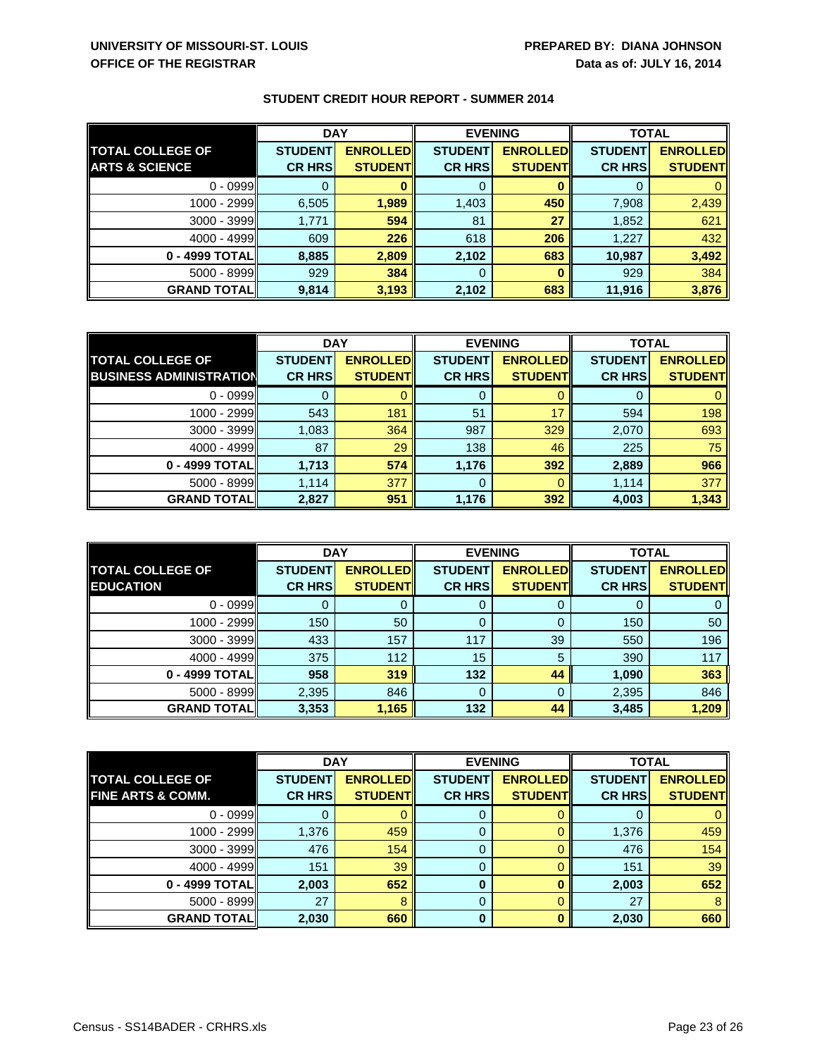|                           | <b>DAY</b>     |                 | <b>EVENING</b> |                 | <b>TOTAL</b>   |                 |
|---------------------------|----------------|-----------------|----------------|-----------------|----------------|-----------------|
| <b>TOTAL COLLEGE OF</b>   | <b>STUDENT</b> | <b>ENROLLED</b> | <b>STUDENT</b> | <b>ENROLLED</b> | <b>STUDENT</b> | <b>ENROLLED</b> |
| <b>ARTS &amp; SCIENCE</b> | <b>CR HRS</b>  | <b>STUDENT</b>  | <b>CR HRS</b>  | <b>STUDENT</b>  | <b>CR HRS</b>  | <b>STUDENT</b>  |
| $0 - 0999$                |                |                 |                |                 |                |                 |
| 1000 - 2999               | 6,505          | 1,989           | 1,403          | 450             | 7,908          | 2,439           |
| $3000 - 3999$             | 1,771          | 594             | 81             | 27              | 1,852          | 621             |
| 4000 - 4999               | 609            | 226             | 618            | 206             | 1,227          | 432             |
| 0 - 4999 TOTAL            | 8,885          | 2,809           | 2,102          | 683             | 10,987         | 3,492           |
| 5000 - 8999               | 929            | 384             | 0              |                 | 929            | 384             |
| <b>GRAND TOTAL</b>        | 9,814          | 3,193           | 2,102          | 683             | 11,916         | 3,876           |

|                                | <b>DAY</b>     |                 | <b>EVENING</b> |                 | <b>TOTAL</b>   |                 |
|--------------------------------|----------------|-----------------|----------------|-----------------|----------------|-----------------|
| <b>TOTAL COLLEGE OF</b>        | <b>STUDENT</b> | <b>ENROLLED</b> | <b>STUDENT</b> | <b>ENROLLED</b> | <b>STUDENT</b> | <b>ENROLLED</b> |
| <b>BUSINESS ADMINISTRATION</b> | <b>CR HRS</b>  | <b>STUDENT</b>  | <b>CR HRS</b>  | <b>STUDENT</b>  | <b>CR HRS</b>  | <b>STUDENT</b>  |
| $0 - 0999$                     |                |                 |                |                 |                |                 |
| 1000 - 2999                    | 543            | 181             | 51             | 17              | 594            | 198             |
| $3000 - 3999$                  | 1,083          | 364             | 987            | 329             | 2,070          | 693             |
| $4000 - 4999$                  | 87             | 29              | 138            | 46              | 225            | 75              |
| 0 - 4999 TOTAL                 | 1,713          | 574             | 1,176          | 392             | 2,889          | 966             |
| 5000 - 8999                    | 1,114          | 377             | 0              |                 | 1,114          | 377             |
| <b>GRAND TOTAL</b>             | 2,827          | 951             | 1,176          | 392             | 4,003          | 1,343           |

|                         | <b>DAY</b>     |                 | <b>EVENING</b> |                 | <b>TOTAL</b>   |                 |
|-------------------------|----------------|-----------------|----------------|-----------------|----------------|-----------------|
| <b>TOTAL COLLEGE OF</b> | <b>STUDENT</b> | <b>ENROLLED</b> | <b>STUDENT</b> | <b>ENROLLED</b> | <b>STUDENT</b> | <b>ENROLLED</b> |
| <b>EDUCATION</b>        | <b>CR HRS</b>  | <b>STUDENT</b>  | <b>CR HRS</b>  | <b>STUDENT</b>  | <b>CR HRS</b>  | <b>STUDENT</b>  |
| $0 - 0999$              |                |                 | 0              |                 |                |                 |
| $1000 - 2999$           | 150            | 50              | 0              |                 | 150            | 50              |
| $3000 - 3999$           | 433            | 157             | 117            | 39              | 550            | 196             |
| $4000 - 4999$           | 375            | 112             | 15             | 5               | 390            | 117             |
| 0 - 4999 TOTAL          | 958            | 319             | 132            | 44              | 1,090          | 363             |
| $5000 - 8999$           | 2,395          | 846             | 0              |                 | 2,395          | 846             |
| <b>GRAND TOTAL</b>      | 3,353          | 1,165           | 132            | 44              | 3,485          | 1,209           |

|                              | <b>DAY</b>     |                 | <b>EVENING</b> |                 | <b>TOTAL</b>   |                 |
|------------------------------|----------------|-----------------|----------------|-----------------|----------------|-----------------|
| <b>TOTAL COLLEGE OF</b>      | <b>STUDENT</b> | <b>ENROLLED</b> | <b>STUDENT</b> | <b>ENROLLED</b> | <b>STUDENT</b> | <b>ENROLLED</b> |
| <b>FINE ARTS &amp; COMM.</b> | <b>CR HRS</b>  | <b>STUDENT</b>  | <b>CR HRS</b>  | <b>STUDENT</b>  | <b>CR HRS</b>  | <b>STUDENT</b>  |
| $0 - 0999$                   |                |                 | Ő              |                 |                |                 |
| $1000 - 2999$                | 1,376          | 459             | 0              |                 | 1,376          | 459             |
| $3000 - 3999$                | 476            | 154             | 0              |                 | 476            | 154             |
| $4000 - 4999$                | 151            | 39              | 0              |                 | 151            | 39              |
| 0 - 4999 TOTAL               | 2,003          | 652             | 0              |                 | 2,003          | 652             |
| $5000 - 8999$                | 27             |                 | 0              |                 | 27             | 8               |
| <b>GRAND TOTAL</b>           | 2,030          | 660             | 0              |                 | 2,030          | 660             |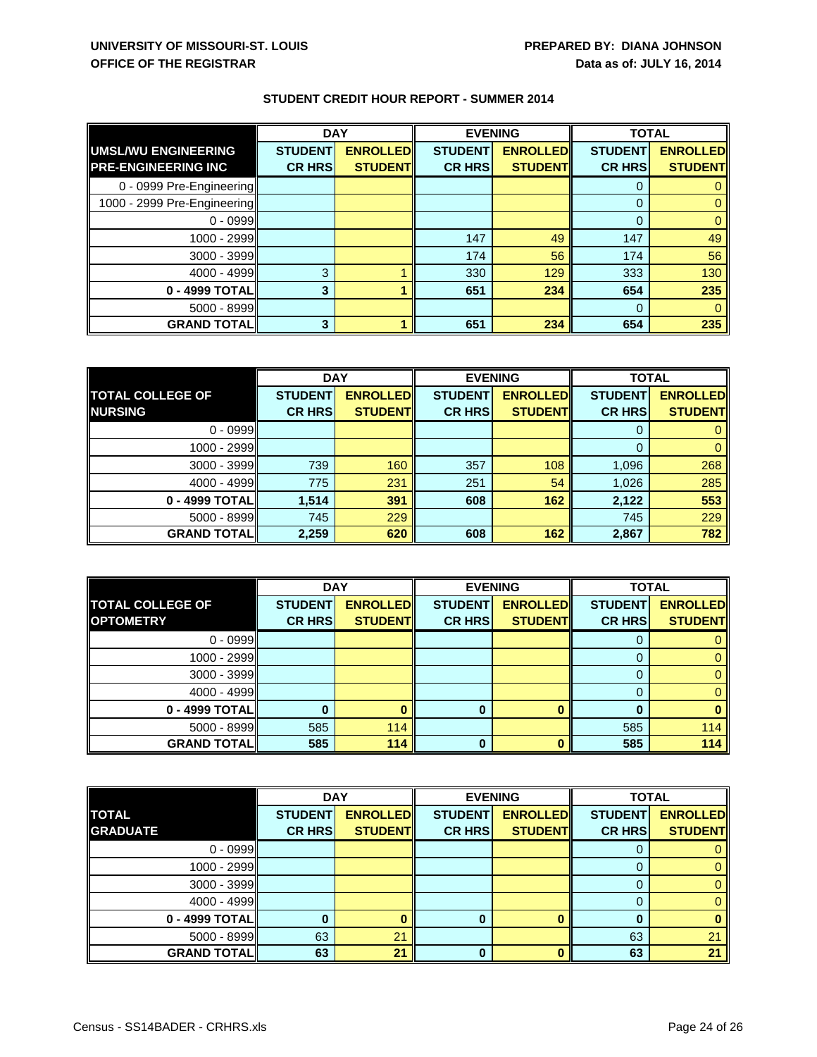|                             | <b>DAY</b>     |                 | <b>EVENING</b> |                 | <b>TOTAL</b>   |                 |
|-----------------------------|----------------|-----------------|----------------|-----------------|----------------|-----------------|
| UMSLMU ENGINEERING          | <b>STUDENT</b> | <b>ENROLLED</b> | <b>STUDENT</b> | <b>ENROLLED</b> | <b>STUDENT</b> | <b>ENROLLED</b> |
| <b>PRE-ENGINEERING INC</b>  | <b>CR HRS</b>  | <b>STUDENT</b>  | <b>CR HRS</b>  | <b>STUDENT</b>  | <b>CR HRS</b>  | <b>STUDENT</b>  |
| 0 - 0999 Pre-Engineering    |                |                 |                |                 |                |                 |
| 1000 - 2999 Pre-Engineering |                |                 |                |                 | $\Omega$       |                 |
| $0 - 0999$                  |                |                 |                |                 | 0              |                 |
| 1000 - 2999                 |                |                 | 147            | 49              | 147            | 49              |
| $3000 - 3999$               |                |                 | 174            | 56              | 174            | 56              |
| 4000 - 4999                 | 3              |                 | 330            | 129             | 333            | 130             |
| 0 - 4999 TOTAL              | 3              |                 | 651            | 234             | 654            | 235             |
| 5000 - 8999                 |                |                 |                |                 | $\Omega$       |                 |
| <b>GRAND TOTAL</b>          | 3              |                 | 651            | 234             | 654            | 235             |

|                                           | <b>DAY</b>                      |                                   | <b>TOTAL</b><br><b>EVENING</b>  |                                   |                                 |                                   |
|-------------------------------------------|---------------------------------|-----------------------------------|---------------------------------|-----------------------------------|---------------------------------|-----------------------------------|
| <b>TOTAL COLLEGE OF</b><br><b>NURSING</b> | <b>STUDENT</b><br><b>CR HRS</b> | <b>ENROLLED</b><br><b>STUDENT</b> | <b>STUDENT</b><br><b>CR HRS</b> | <b>ENROLLED</b><br><b>STUDENT</b> | <b>STUDENT</b><br><b>CR HRS</b> | <b>ENROLLED</b><br><b>STUDENT</b> |
|                                           |                                 |                                   |                                 |                                   |                                 |                                   |
| $0 - 0999$                                |                                 |                                   |                                 |                                   | O                               |                                   |
| 1000 - 2999                               |                                 |                                   |                                 |                                   | $\Omega$                        |                                   |
| 3000 - 3999                               | 739                             | 160                               | 357                             | 108                               | 1,096                           | 268                               |
| 4000 - 4999                               | 775                             | 231                               | 251                             | 54                                | 1,026                           | 285                               |
| 0 - 4999 TOTAL                            | 1,514                           | 391                               | 608                             | 162                               | 2,122                           | 553                               |
| $5000 - 8999$                             | 745                             | 229                               |                                 |                                   | 745                             | 229                               |
| <b>GRAND TOTAL</b>                        | 2,259                           | 620                               | 608                             | 162                               | 2,867                           | 782                               |

|                         |                | <b>DAY</b><br><b>EVENING</b> |                |                 | <b>TOTAL</b>   |                 |
|-------------------------|----------------|------------------------------|----------------|-----------------|----------------|-----------------|
| <b>TOTAL COLLEGE OF</b> | <b>STUDENT</b> | <b>ENROLLED</b>              | <b>STUDENT</b> | <b>ENROLLED</b> | <b>STUDENT</b> | <b>ENROLLED</b> |
| <b>OPTOMETRY</b>        | <b>CR HRS</b>  | <b>STUDENT</b>               | <b>CR HRS</b>  | <b>STUDENT</b>  | <b>CR HRS</b>  | <b>STUDENT</b>  |
| $0 - 0999$              |                |                              |                |                 |                |                 |
| $1000 - 2999$           |                |                              |                |                 |                |                 |
| $3000 - 3999$           |                |                              |                |                 |                |                 |
| $4000 - 4999$           |                |                              |                |                 |                |                 |
| 0 - 4999 TOTAL          |                |                              |                |                 |                |                 |
| $5000 - 8999$           | 585            | 114                          |                |                 | 585            | 114             |
| <b>GRAND TOTAL</b>      | 585            | $114$                        | 0              |                 | 585            | 114             |

|                    | <b>DAY</b><br><b>EVENING</b> |                 |                | <b>TOTAL</b>    |                |                 |
|--------------------|------------------------------|-----------------|----------------|-----------------|----------------|-----------------|
| <b>TOTAL</b>       | <b>STUDENT</b>               | <b>ENROLLED</b> | <b>STUDENT</b> | <b>ENROLLED</b> | <b>STUDENT</b> | <b>ENROLLED</b> |
| <b>GRADUATE</b>    | <b>CR HRS</b>                | <b>STUDENT</b>  | <b>CR HRS</b>  | <b>STUDENT</b>  | <b>CR HRS</b>  | <b>STUDENT</b>  |
| $0 - 0999$         |                              |                 |                |                 |                |                 |
| $1000 - 2999$      |                              |                 |                |                 |                |                 |
| $3000 - 3999$      |                              |                 |                |                 |                |                 |
| 4000 - 4999        |                              |                 |                |                 |                |                 |
| 0 - 4999 TOTAL     |                              |                 | 0              |                 |                |                 |
| $5000 - 8999$      | 63                           | 21              |                |                 | 63             | 21              |
| <b>GRAND TOTAL</b> | 63                           | 21              | n              |                 | 63             | 21              |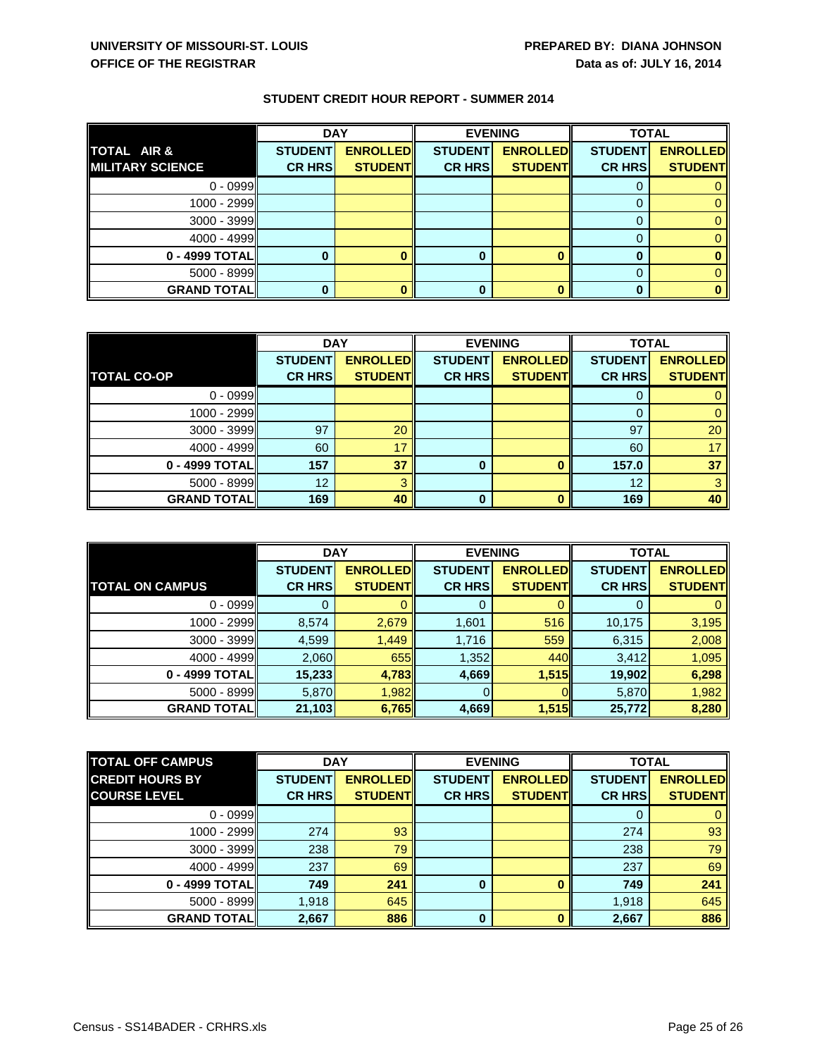|                         |                | <b>DAY</b><br><b>EVENING</b> |                |                 | <b>TOTAL</b>   |                 |
|-------------------------|----------------|------------------------------|----------------|-----------------|----------------|-----------------|
| <b>TOTAL AIR &amp;</b>  | <b>STUDENT</b> | <b>ENROLLED</b>              | <b>STUDENT</b> | <b>ENROLLED</b> | <b>STUDENT</b> | <b>ENROLLED</b> |
| <b>MILITARY SCIENCE</b> | <b>CR HRS</b>  | <b>STUDENT</b>               | <b>CR HRS</b>  | <b>STUDENT</b>  | <b>CR HRS</b>  | <b>STUDENT</b>  |
| $0 - 0999$              |                |                              |                |                 |                |                 |
| 1000 - 2999             |                |                              |                |                 |                |                 |
| $3000 - 3999$           |                |                              |                |                 |                |                 |
| $4000 - 4999$           |                |                              |                |                 |                |                 |
| $0 - 4999$ TOTAL        |                |                              |                |                 |                |                 |
| $5000 - 8999$           |                |                              |                |                 |                |                 |
| <b>GRAND TOTAL</b>      |                |                              |                |                 |                |                 |

|                    | <b>DAY</b>     |                 | <b>EVENING</b> |                 | <b>TOTAL</b>   |                 |
|--------------------|----------------|-----------------|----------------|-----------------|----------------|-----------------|
|                    | <b>STUDENT</b> | <b>ENROLLED</b> | <b>STUDENT</b> | <b>ENROLLED</b> | <b>STUDENT</b> | <b>ENROLLED</b> |
| <b>TOTAL CO-OP</b> | <b>CR HRS</b>  | <b>STUDENT</b>  | <b>CR HRS</b>  | <b>STUDENT</b>  | <b>CR HRS</b>  | <b>STUDENT</b>  |
| $0 - 0999$         |                |                 |                |                 |                |                 |
| $1000 - 2999$      |                |                 |                |                 |                |                 |
| $3000 - 3999$      | 97             | 20              |                |                 | 97             | 20              |
| $4000 - 4999$      | 60             | 17              |                |                 | 60             | 17              |
| 0 - 4999 TOTAL     | 157            | 37              | 0              |                 | 157.0          | 37              |
| $5000 - 8999$      | 12             |                 |                |                 | 12             |                 |
| <b>GRAND TOTAL</b> | 169            | 40              | $\bf{0}$       |                 | 169            | 40              |

|                        | <b>DAY</b>     |                 | <b>EVENING</b> |                 | <b>TOTAL</b>   |                 |
|------------------------|----------------|-----------------|----------------|-----------------|----------------|-----------------|
|                        | <b>STUDENT</b> | <b>ENROLLED</b> | <b>STUDENT</b> | <b>ENROLLED</b> | <b>STUDENT</b> | <b>ENROLLED</b> |
| <b>TOTAL ON CAMPUS</b> | <b>CR HRS</b>  | <b>STUDENT</b>  | <b>CR HRS</b>  | <b>STUDENT</b>  | <b>CR HRS</b>  | <b>STUDENT</b>  |
| $0 - 0999$             |                |                 | U              |                 |                |                 |
| 1000 - 2999            | 8,574          | 2,679           | 1,601          | 516             | 10,175         | 3,195           |
| $3000 - 3999$          | 4,599          | 1,449           | 1,716          | 559             | 6,315          | 2,008           |
| $4000 - 4999$          | 2,060          | 655             | 1,352          | 440             | 3,412          | 1,095           |
| $0 - 4999$ TOTAL       | 15,233         | 4,783           | 4,669          | 1,515           | 19,902         | 6,298           |
| $5000 - 8999$          | 5,870          | 1,982           |                |                 | 5,870          | 1,982           |
| <b>GRAND TOTAL</b>     | 21,103         | 6,765           | 4,669          | 1,515           | 25,772         | 8,280           |

| <b>TOTAL OFF CAMPUS</b> | <b>DAY</b>     |                 |                | <b>EVENING</b><br><b>TOTAL</b> |                |                 |
|-------------------------|----------------|-----------------|----------------|--------------------------------|----------------|-----------------|
| <b>CREDIT HOURS BY</b>  | <b>STUDENT</b> | <b>ENROLLED</b> | <b>STUDENT</b> | <b>ENROLLED</b>                | <b>STUDENT</b> | <b>ENROLLED</b> |
| <b>COURSE LEVEL</b>     | <b>CR HRS</b>  | <b>STUDENT</b>  | <b>CR HRS</b>  | <b>STUDENT</b>                 | <b>CR HRS</b>  | <b>STUDENT</b>  |
| $0 - 0999$              |                |                 |                |                                |                |                 |
| 1000 - 2999             | 274            | 93              |                |                                | 274            | 93              |
| $3000 - 3999$           | 238            | 79              |                |                                | 238            | 79              |
| $4000 - 4999$           | 237            | 69              |                |                                | 237            | 69              |
| 0 - 4999 TOTAL          | 749            | 241             | 0              |                                | 749            | 241             |
| $5000 - 8999$           | 1,918          | 645             |                |                                | 1,918          | 645             |
| <b>GRAND TOTAL</b>      | 2,667          | 886             | $\Omega$       |                                | 2,667          | 886             |